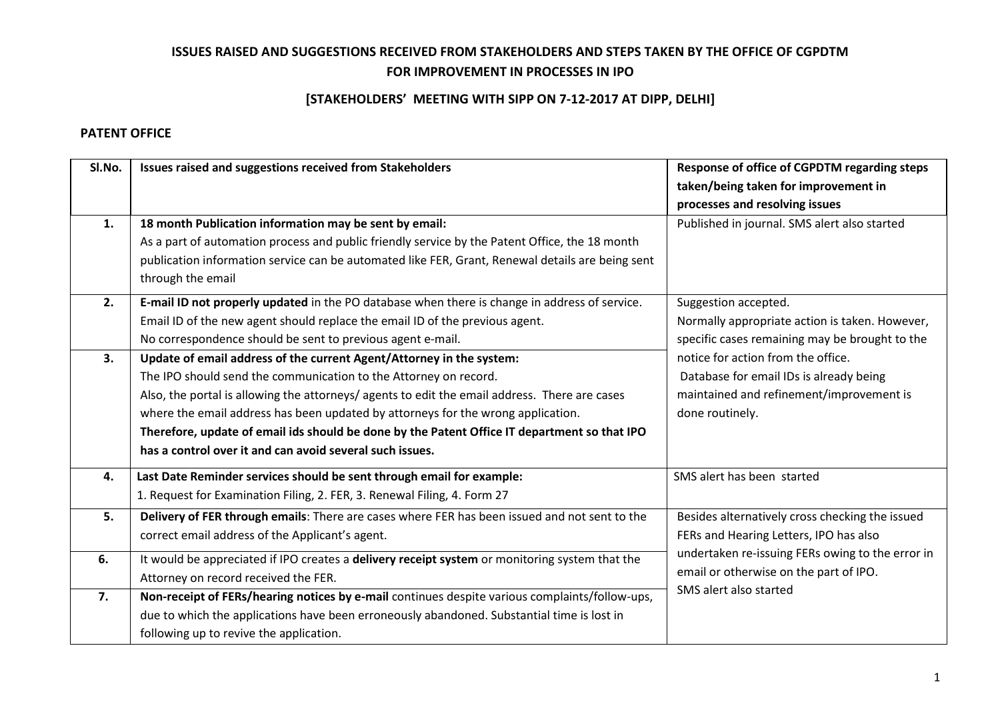## **ISSUES RAISED AND SUGGESTIONS RECEIVED FROM STAKEHOLDERS AND STEPS TAKEN BY THE OFFICE OF CGPDTM FOR IMPROVEMENT IN PROCESSES IN IPO**

## **[STAKEHOLDERS' MEETING WITH SIPP ON 7-12-2017 AT DIPP, DELHI]**

## **PATENT OFFICE**

| SI.No. | Issues raised and suggestions received from Stakeholders                                                                                                                                                                                                                                                                                                                                                                                                                                  | Response of office of CGPDTM regarding steps<br>taken/being taken for improvement in<br>processes and resolving issues                                                                                            |
|--------|-------------------------------------------------------------------------------------------------------------------------------------------------------------------------------------------------------------------------------------------------------------------------------------------------------------------------------------------------------------------------------------------------------------------------------------------------------------------------------------------|-------------------------------------------------------------------------------------------------------------------------------------------------------------------------------------------------------------------|
| 1.     | 18 month Publication information may be sent by email:<br>As a part of automation process and public friendly service by the Patent Office, the 18 month<br>publication information service can be automated like FER, Grant, Renewal details are being sent<br>through the email                                                                                                                                                                                                         | Published in journal. SMS alert also started                                                                                                                                                                      |
| 2.     | E-mail ID not properly updated in the PO database when there is change in address of service.<br>Email ID of the new agent should replace the email ID of the previous agent.<br>No correspondence should be sent to previous agent e-mail.                                                                                                                                                                                                                                               | Suggestion accepted.<br>Normally appropriate action is taken. However,<br>specific cases remaining may be brought to the                                                                                          |
| 3.     | Update of email address of the current Agent/Attorney in the system:<br>The IPO should send the communication to the Attorney on record.<br>Also, the portal is allowing the attorneys/ agents to edit the email address. There are cases<br>where the email address has been updated by attorneys for the wrong application.<br>Therefore, update of email ids should be done by the Patent Office IT department so that IPO<br>has a control over it and can avoid several such issues. | notice for action from the office.<br>Database for email IDs is already being<br>maintained and refinement/improvement is<br>done routinely.                                                                      |
| 4.     | Last Date Reminder services should be sent through email for example:<br>1. Request for Examination Filing, 2. FER, 3. Renewal Filing, 4. Form 27                                                                                                                                                                                                                                                                                                                                         | SMS alert has been started                                                                                                                                                                                        |
| 5.     | Delivery of FER through emails: There are cases where FER has been issued and not sent to the<br>correct email address of the Applicant's agent.                                                                                                                                                                                                                                                                                                                                          | Besides alternatively cross checking the issued<br>FERs and Hearing Letters, IPO has also<br>undertaken re-issuing FERs owing to the error in<br>email or otherwise on the part of IPO.<br>SMS alert also started |
| 6.     | It would be appreciated if IPO creates a delivery receipt system or monitoring system that the<br>Attorney on record received the FER.                                                                                                                                                                                                                                                                                                                                                    |                                                                                                                                                                                                                   |
| 7.     | Non-receipt of FERs/hearing notices by e-mail continues despite various complaints/follow-ups,<br>due to which the applications have been erroneously abandoned. Substantial time is lost in<br>following up to revive the application.                                                                                                                                                                                                                                                   |                                                                                                                                                                                                                   |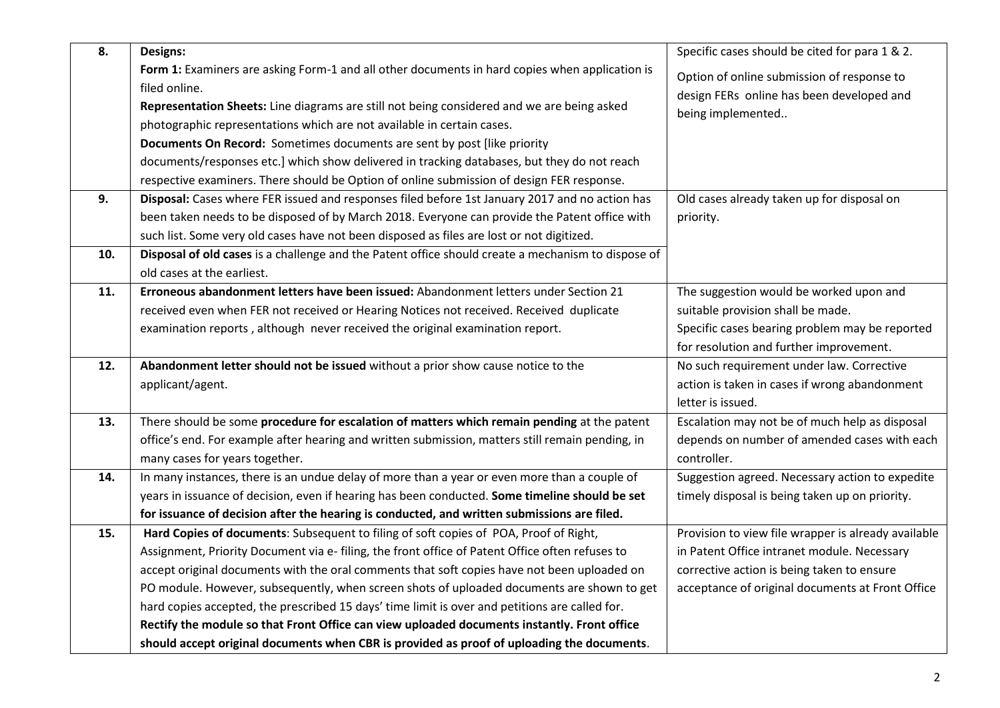| 8.  | Designs:                                                                                           | Specific cases should be cited for para 1 & 2.      |
|-----|----------------------------------------------------------------------------------------------------|-----------------------------------------------------|
|     | Form 1: Examiners are asking Form-1 and all other documents in hard copies when application is     | Option of online submission of response to          |
|     | filed online.                                                                                      | design FERs online has been developed and           |
|     | Representation Sheets: Line diagrams are still not being considered and we are being asked         | being implemented                                   |
|     | photographic representations which are not available in certain cases.                             |                                                     |
|     | Documents On Record: Sometimes documents are sent by post [like priority                           |                                                     |
|     | documents/responses etc.] which show delivered in tracking databases, but they do not reach        |                                                     |
|     | respective examiners. There should be Option of online submission of design FER response.          |                                                     |
| 9.  | Disposal: Cases where FER issued and responses filed before 1st January 2017 and no action has     | Old cases already taken up for disposal on          |
|     | been taken needs to be disposed of by March 2018. Everyone can provide the Patent office with      | priority.                                           |
|     | such list. Some very old cases have not been disposed as files are lost or not digitized.          |                                                     |
| 10. | Disposal of old cases is a challenge and the Patent office should create a mechanism to dispose of |                                                     |
|     | old cases at the earliest.                                                                         |                                                     |
| 11. | Erroneous abandonment letters have been issued: Abandonment letters under Section 21               | The suggestion would be worked upon and             |
|     | received even when FER not received or Hearing Notices not received. Received duplicate            | suitable provision shall be made.                   |
|     | examination reports, although never received the original examination report.                      | Specific cases bearing problem may be reported      |
|     |                                                                                                    | for resolution and further improvement.             |
| 12. | Abandonment letter should not be issued without a prior show cause notice to the                   | No such requirement under law. Corrective           |
|     | applicant/agent.                                                                                   | action is taken in cases if wrong abandonment       |
|     |                                                                                                    | letter is issued.                                   |
| 13. | There should be some procedure for escalation of matters which remain pending at the patent        | Escalation may not be of much help as disposal      |
|     | office's end. For example after hearing and written submission, matters still remain pending, in   | depends on number of amended cases with each        |
|     | many cases for years together.                                                                     | controller.                                         |
| 14. | In many instances, there is an undue delay of more than a year or even more than a couple of       | Suggestion agreed. Necessary action to expedite     |
|     | years in issuance of decision, even if hearing has been conducted. Some timeline should be set     | timely disposal is being taken up on priority.      |
|     | for issuance of decision after the hearing is conducted, and written submissions are filed.        |                                                     |
| 15. | Hard Copies of documents: Subsequent to filing of soft copies of POA, Proof of Right,              | Provision to view file wrapper is already available |
|     | Assignment, Priority Document via e- filing, the front office of Patent Office often refuses to    | in Patent Office intranet module. Necessary         |
|     | accept original documents with the oral comments that soft copies have not been uploaded on        | corrective action is being taken to ensure          |
|     | PO module. However, subsequently, when screen shots of uploaded documents are shown to get         | acceptance of original documents at Front Office    |
|     | hard copies accepted, the prescribed 15 days' time limit is over and petitions are called for.     |                                                     |
|     | Rectify the module so that Front Office can view uploaded documents instantly. Front office        |                                                     |
|     | should accept original documents when CBR is provided as proof of uploading the documents.         |                                                     |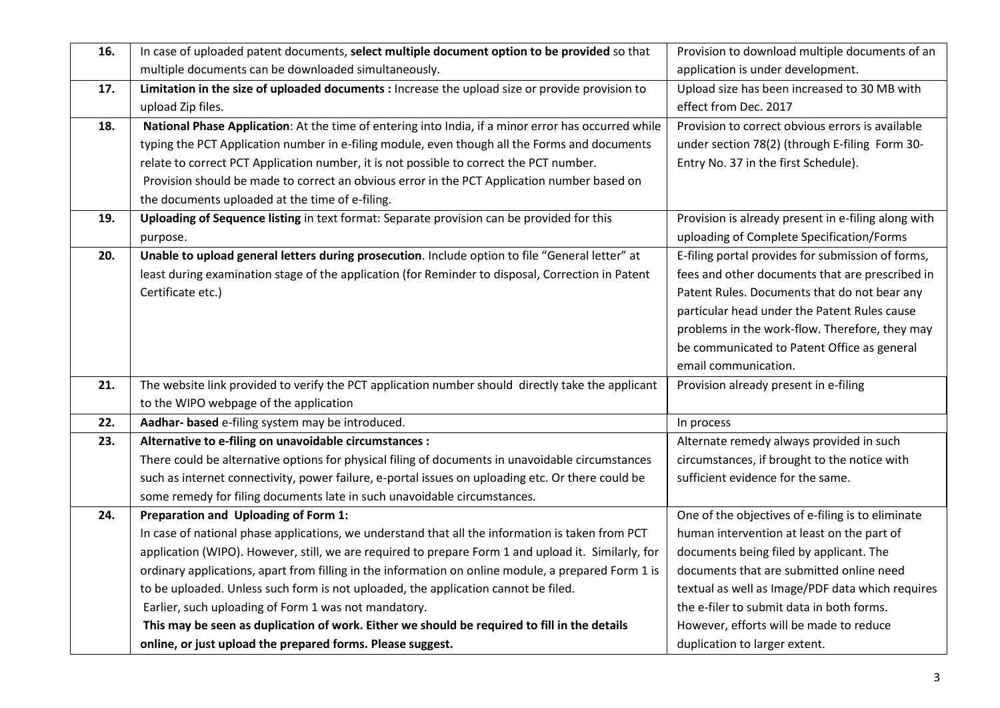| 16. | In case of uploaded patent documents, select multiple document option to be provided so that        | Provision to download multiple documents of an      |
|-----|-----------------------------------------------------------------------------------------------------|-----------------------------------------------------|
|     | multiple documents can be downloaded simultaneously.                                                | application is under development.                   |
| 17. | Limitation in the size of uploaded documents : Increase the upload size or provide provision to     | Upload size has been increased to 30 MB with        |
|     | upload Zip files.                                                                                   | effect from Dec. 2017                               |
| 18. | National Phase Application: At the time of entering into India, if a minor error has occurred while | Provision to correct obvious errors is available    |
|     | typing the PCT Application number in e-filing module, even though all the Forms and documents       | under section 78(2) (through E-filing Form 30-      |
|     | relate to correct PCT Application number, it is not possible to correct the PCT number.             | Entry No. 37 in the first Schedule).                |
|     | Provision should be made to correct an obvious error in the PCT Application number based on         |                                                     |
|     | the documents uploaded at the time of e-filing.                                                     |                                                     |
| 19. | Uploading of Sequence listing in text format: Separate provision can be provided for this           | Provision is already present in e-filing along with |
|     | purpose.                                                                                            | uploading of Complete Specification/Forms           |
| 20. | Unable to upload general letters during prosecution. Include option to file "General letter" at     | E-filing portal provides for submission of forms,   |
|     | least during examination stage of the application (for Reminder to disposal, Correction in Patent   | fees and other documents that are prescribed in     |
|     | Certificate etc.)                                                                                   | Patent Rules. Documents that do not bear any        |
|     |                                                                                                     | particular head under the Patent Rules cause        |
|     |                                                                                                     | problems in the work-flow. Therefore, they may      |
|     |                                                                                                     | be communicated to Patent Office as general         |
|     |                                                                                                     | email communication.                                |
| 21. | The website link provided to verify the PCT application number should directly take the applicant   | Provision already present in e-filing               |
|     | to the WIPO webpage of the application                                                              |                                                     |
| 22. | Aadhar- based e-filing system may be introduced.                                                    | In process                                          |
| 23. | Alternative to e-filing on unavoidable circumstances :                                              | Alternate remedy always provided in such            |
|     | There could be alternative options for physical filing of documents in unavoidable circumstances    | circumstances, if brought to the notice with        |
|     | such as internet connectivity, power failure, e-portal issues on uploading etc. Or there could be   | sufficient evidence for the same.                   |
|     | some remedy for filing documents late in such unavoidable circumstances.                            |                                                     |
| 24. | Preparation and Uploading of Form 1:                                                                | One of the objectives of e-filing is to eliminate   |
|     | In case of national phase applications, we understand that all the information is taken from PCT    | human intervention at least on the part of          |
|     | application (WIPO). However, still, we are required to prepare Form 1 and upload it. Similarly, for | documents being filed by applicant. The             |
|     | ordinary applications, apart from filling in the information on online module, a prepared Form 1 is | documents that are submitted online need            |
|     | to be uploaded. Unless such form is not uploaded, the application cannot be filed.                  | textual as well as Image/PDF data which requires    |
|     | Earlier, such uploading of Form 1 was not mandatory.                                                | the e-filer to submit data in both forms.           |
|     | This may be seen as duplication of work. Either we should be required to fill in the details        | However, efforts will be made to reduce             |
|     | online, or just upload the prepared forms. Please suggest.                                          | duplication to larger extent.                       |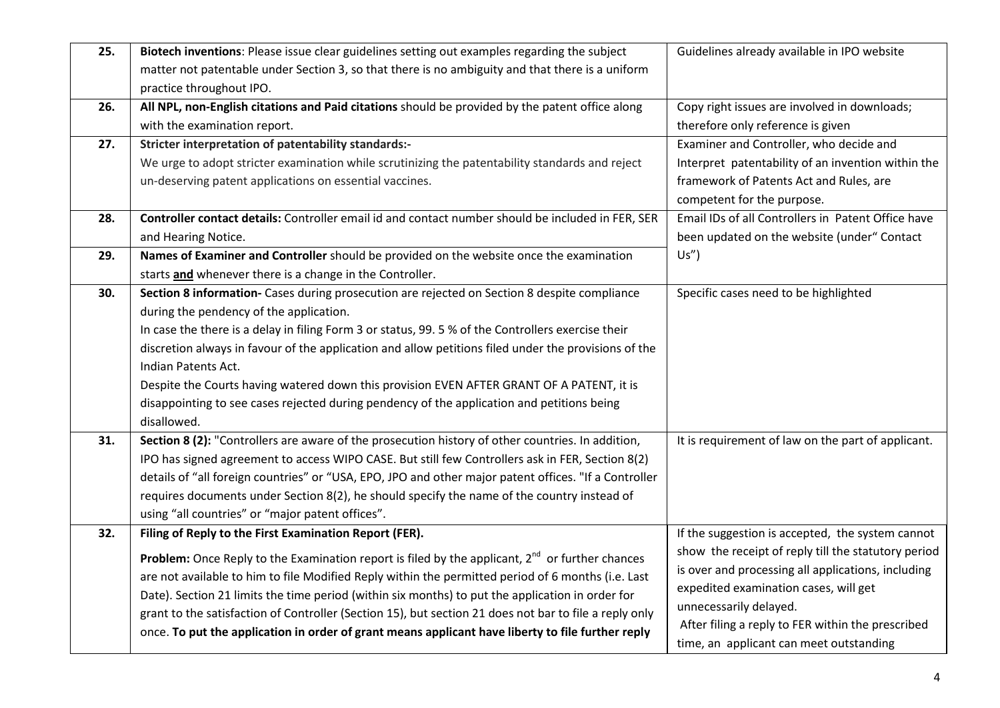| 25. | Biotech inventions: Please issue clear guidelines setting out examples regarding the subject<br>matter not patentable under Section 3, so that there is no ambiguity and that there is a uniform<br>practice throughout IPO.                                                                                                                                                                                                                                                                                                                                                                   | Guidelines already available in IPO website                                                                                                                                                                                                                                                                                      |
|-----|------------------------------------------------------------------------------------------------------------------------------------------------------------------------------------------------------------------------------------------------------------------------------------------------------------------------------------------------------------------------------------------------------------------------------------------------------------------------------------------------------------------------------------------------------------------------------------------------|----------------------------------------------------------------------------------------------------------------------------------------------------------------------------------------------------------------------------------------------------------------------------------------------------------------------------------|
| 26. | All NPL, non-English citations and Paid citations should be provided by the patent office along<br>with the examination report.                                                                                                                                                                                                                                                                                                                                                                                                                                                                | Copy right issues are involved in downloads;<br>therefore only reference is given                                                                                                                                                                                                                                                |
| 27. | Stricter interpretation of patentability standards:-<br>We urge to adopt stricter examination while scrutinizing the patentability standards and reject<br>un-deserving patent applications on essential vaccines.                                                                                                                                                                                                                                                                                                                                                                             | Examiner and Controller, who decide and<br>Interpret patentability of an invention within the<br>framework of Patents Act and Rules, are<br>competent for the purpose.                                                                                                                                                           |
| 28. | Controller contact details: Controller email id and contact number should be included in FER, SER<br>and Hearing Notice.                                                                                                                                                                                                                                                                                                                                                                                                                                                                       | Email IDs of all Controllers in Patent Office have<br>been updated on the website (under" Contact                                                                                                                                                                                                                                |
| 29. | Names of Examiner and Controller should be provided on the website once the examination<br>starts and whenever there is a change in the Controller.                                                                                                                                                                                                                                                                                                                                                                                                                                            | $Us'$ )                                                                                                                                                                                                                                                                                                                          |
| 30. | Section 8 information- Cases during prosecution are rejected on Section 8 despite compliance<br>during the pendency of the application.<br>In case the there is a delay in filing Form 3 or status, 99.5% of the Controllers exercise their<br>discretion always in favour of the application and allow petitions filed under the provisions of the<br>Indian Patents Act.<br>Despite the Courts having watered down this provision EVEN AFTER GRANT OF A PATENT, it is<br>disappointing to see cases rejected during pendency of the application and petitions being<br>disallowed.           | Specific cases need to be highlighted                                                                                                                                                                                                                                                                                            |
| 31. | Section 8 (2): "Controllers are aware of the prosecution history of other countries. In addition,<br>IPO has signed agreement to access WIPO CASE. But still few Controllers ask in FER, Section 8(2)<br>details of "all foreign countries" or "USA, EPO, JPO and other major patent offices. "If a Controller<br>requires documents under Section 8(2), he should specify the name of the country instead of<br>using "all countries" or "major patent offices".                                                                                                                              | It is requirement of law on the part of applicant.                                                                                                                                                                                                                                                                               |
| 32. | Filing of Reply to the First Examination Report (FER).<br><b>Problem:</b> Once Reply to the Examination report is filed by the applicant, $2^{nd}$ or further chances<br>are not available to him to file Modified Reply within the permitted period of 6 months (i.e. Last<br>Date). Section 21 limits the time period (within six months) to put the application in order for<br>grant to the satisfaction of Controller (Section 15), but section 21 does not bar to file a reply only<br>once. To put the application in order of grant means applicant have liberty to file further reply | If the suggestion is accepted, the system cannot<br>show the receipt of reply till the statutory period<br>is over and processing all applications, including<br>expedited examination cases, will get<br>unnecessarily delayed.<br>After filing a reply to FER within the prescribed<br>time, an applicant can meet outstanding |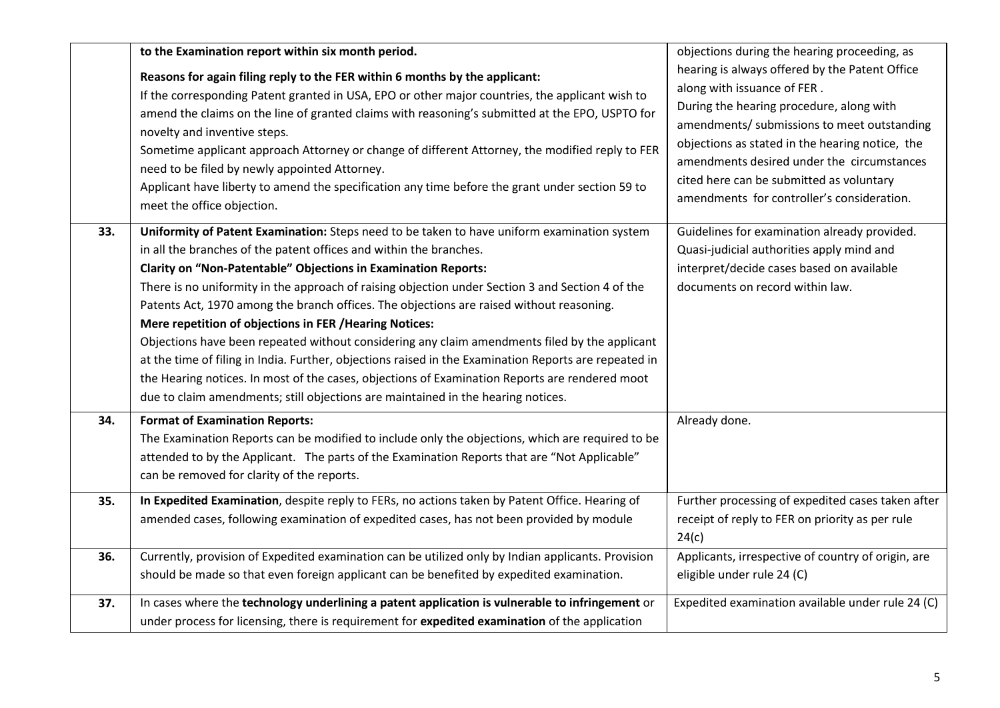|     | to the Examination report within six month period.<br>Reasons for again filing reply to the FER within 6 months by the applicant:<br>If the corresponding Patent granted in USA, EPO or other major countries, the applicant wish to<br>amend the claims on the line of granted claims with reasoning's submitted at the EPO, USPTO for<br>novelty and inventive steps.<br>Sometime applicant approach Attorney or change of different Attorney, the modified reply to FER<br>need to be filed by newly appointed Attorney.<br>Applicant have liberty to amend the specification any time before the grant under section 59 to<br>meet the office objection.                                                                                                                                                                                                                                          | objections during the hearing proceeding, as<br>hearing is always offered by the Patent Office<br>along with issuance of FER.<br>During the hearing procedure, along with<br>amendments/ submissions to meet outstanding<br>objections as stated in the hearing notice, the<br>amendments desired under the circumstances<br>cited here can be submitted as voluntary<br>amendments for controller's consideration. |
|-----|-------------------------------------------------------------------------------------------------------------------------------------------------------------------------------------------------------------------------------------------------------------------------------------------------------------------------------------------------------------------------------------------------------------------------------------------------------------------------------------------------------------------------------------------------------------------------------------------------------------------------------------------------------------------------------------------------------------------------------------------------------------------------------------------------------------------------------------------------------------------------------------------------------|---------------------------------------------------------------------------------------------------------------------------------------------------------------------------------------------------------------------------------------------------------------------------------------------------------------------------------------------------------------------------------------------------------------------|
| 33. | Uniformity of Patent Examination: Steps need to be taken to have uniform examination system<br>in all the branches of the patent offices and within the branches.<br><b>Clarity on "Non-Patentable" Objections in Examination Reports:</b><br>There is no uniformity in the approach of raising objection under Section 3 and Section 4 of the<br>Patents Act, 1970 among the branch offices. The objections are raised without reasoning.<br>Mere repetition of objections in FER / Hearing Notices:<br>Objections have been repeated without considering any claim amendments filed by the applicant<br>at the time of filing in India. Further, objections raised in the Examination Reports are repeated in<br>the Hearing notices. In most of the cases, objections of Examination Reports are rendered moot<br>due to claim amendments; still objections are maintained in the hearing notices. | Guidelines for examination already provided.<br>Quasi-judicial authorities apply mind and<br>interpret/decide cases based on available<br>documents on record within law.                                                                                                                                                                                                                                           |
| 34. | <b>Format of Examination Reports:</b><br>The Examination Reports can be modified to include only the objections, which are required to be<br>attended to by the Applicant. The parts of the Examination Reports that are "Not Applicable"<br>can be removed for clarity of the reports.                                                                                                                                                                                                                                                                                                                                                                                                                                                                                                                                                                                                               | Already done.                                                                                                                                                                                                                                                                                                                                                                                                       |
| 35. | In Expedited Examination, despite reply to FERs, no actions taken by Patent Office. Hearing of<br>amended cases, following examination of expedited cases, has not been provided by module                                                                                                                                                                                                                                                                                                                                                                                                                                                                                                                                                                                                                                                                                                            | Further processing of expedited cases taken after<br>receipt of reply to FER on priority as per rule<br>24(c)                                                                                                                                                                                                                                                                                                       |
| 36. | Currently, provision of Expedited examination can be utilized only by Indian applicants. Provision<br>should be made so that even foreign applicant can be benefited by expedited examination.                                                                                                                                                                                                                                                                                                                                                                                                                                                                                                                                                                                                                                                                                                        | Applicants, irrespective of country of origin, are<br>eligible under rule 24 (C)                                                                                                                                                                                                                                                                                                                                    |
| 37. | In cases where the technology underlining a patent application is vulnerable to infringement or<br>under process for licensing, there is requirement for expedited examination of the application                                                                                                                                                                                                                                                                                                                                                                                                                                                                                                                                                                                                                                                                                                     | Expedited examination available under rule 24 (C)                                                                                                                                                                                                                                                                                                                                                                   |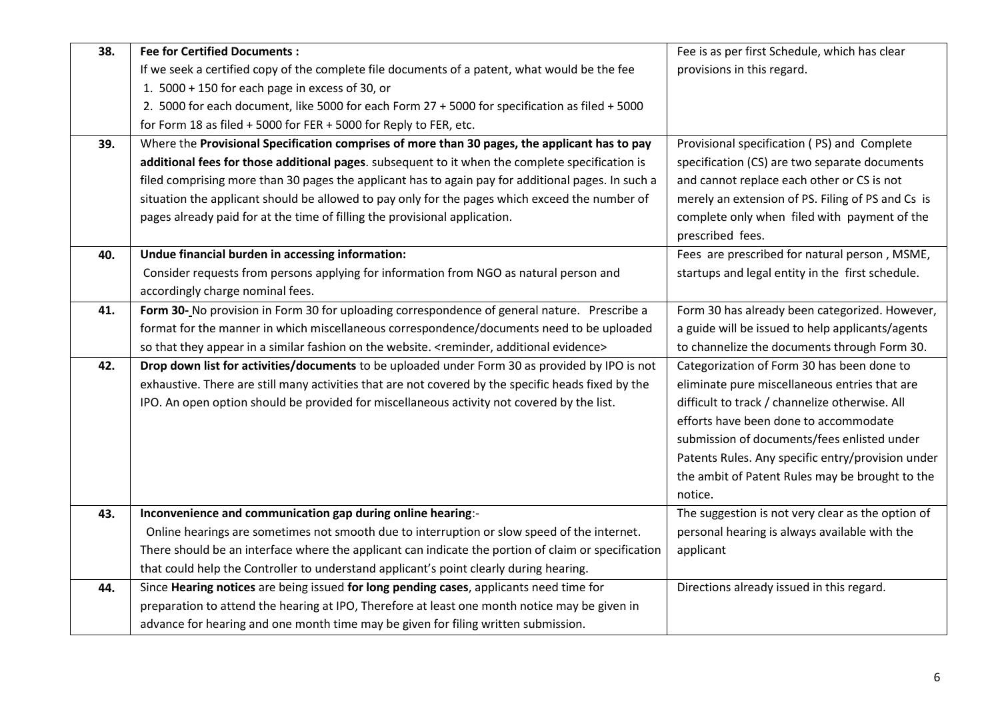| 38. | <b>Fee for Certified Documents:</b>                                                                        | Fee is as per first Schedule, which has clear     |
|-----|------------------------------------------------------------------------------------------------------------|---------------------------------------------------|
|     | If we seek a certified copy of the complete file documents of a patent, what would be the fee              | provisions in this regard.                        |
|     | 1. 5000 + 150 for each page in excess of 30, or                                                            |                                                   |
|     | 2. 5000 for each document, like 5000 for each Form 27 + 5000 for specification as filed + 5000             |                                                   |
|     | for Form 18 as filed + 5000 for FER + 5000 for Reply to FER, etc.                                          |                                                   |
| 39. | Where the Provisional Specification comprises of more than 30 pages, the applicant has to pay              | Provisional specification (PS) and Complete       |
|     | additional fees for those additional pages. subsequent to it when the complete specification is            | specification (CS) are two separate documents     |
|     | filed comprising more than 30 pages the applicant has to again pay for additional pages. In such a         | and cannot replace each other or CS is not        |
|     | situation the applicant should be allowed to pay only for the pages which exceed the number of             | merely an extension of PS. Filing of PS and Cs is |
|     | pages already paid for at the time of filling the provisional application.                                 | complete only when filed with payment of the      |
|     |                                                                                                            | prescribed fees.                                  |
| 40. | Undue financial burden in accessing information:                                                           | Fees are prescribed for natural person, MSME,     |
|     | Consider requests from persons applying for information from NGO as natural person and                     | startups and legal entity in the first schedule.  |
|     | accordingly charge nominal fees.                                                                           |                                                   |
| 41. | Form 30- No provision in Form 30 for uploading correspondence of general nature. Prescribe a               | Form 30 has already been categorized. However,    |
|     | format for the manner in which miscellaneous correspondence/documents need to be uploaded                  | a guide will be issued to help applicants/agents  |
|     | so that they appear in a similar fashion on the website. <reminder, additional="" evidence=""></reminder,> | to channelize the documents through Form 30.      |
| 42. | Drop down list for activities/documents to be uploaded under Form 30 as provided by IPO is not             | Categorization of Form 30 has been done to        |
|     | exhaustive. There are still many activities that are not covered by the specific heads fixed by the        | eliminate pure miscellaneous entries that are     |
|     | IPO. An open option should be provided for miscellaneous activity not covered by the list.                 | difficult to track / channelize otherwise. All    |
|     |                                                                                                            | efforts have been done to accommodate             |
|     |                                                                                                            | submission of documents/fees enlisted under       |
|     |                                                                                                            | Patents Rules. Any specific entry/provision under |
|     |                                                                                                            | the ambit of Patent Rules may be brought to the   |
|     |                                                                                                            | notice.                                           |
| 43. | Inconvenience and communication gap during online hearing:-                                                | The suggestion is not very clear as the option of |
|     | Online hearings are sometimes not smooth due to interruption or slow speed of the internet.                | personal hearing is always available with the     |
|     | There should be an interface where the applicant can indicate the portion of claim or specification        | applicant                                         |
|     | that could help the Controller to understand applicant's point clearly during hearing.                     |                                                   |
| 44. | Since Hearing notices are being issued for long pending cases, applicants need time for                    | Directions already issued in this regard.         |
|     | preparation to attend the hearing at IPO, Therefore at least one month notice may be given in              |                                                   |
|     | advance for hearing and one month time may be given for filing written submission.                         |                                                   |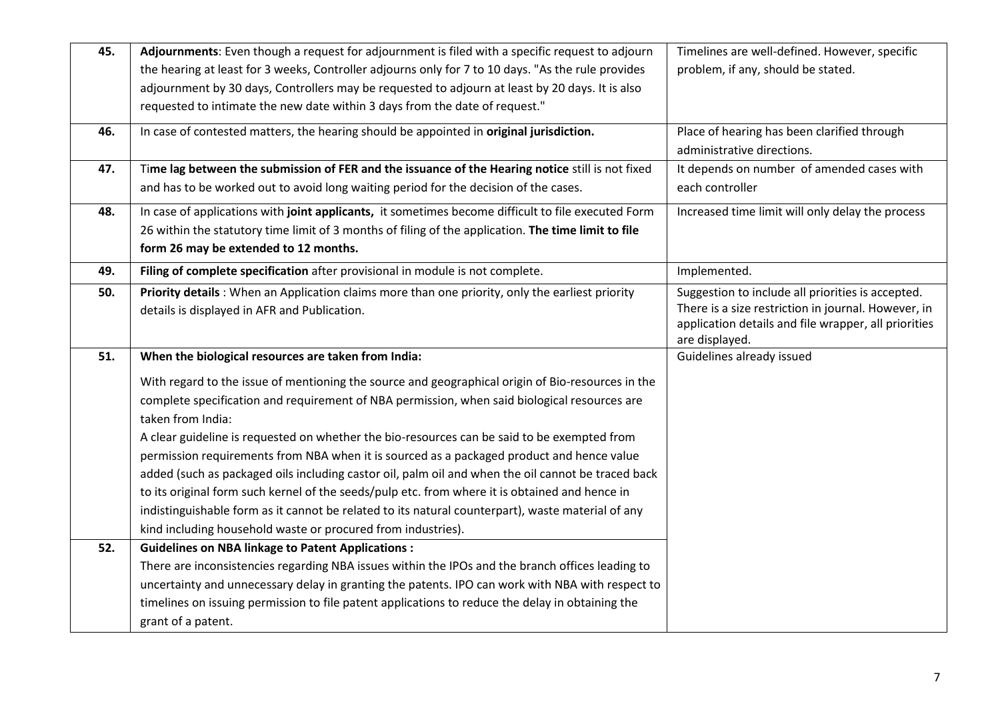| 45. | Adjournments: Even though a request for adjournment is filed with a specific request to adjourn<br>the hearing at least for 3 weeks, Controller adjourns only for 7 to 10 days. "As the rule provides<br>adjournment by 30 days, Controllers may be requested to adjourn at least by 20 days. It is also<br>requested to intimate the new date within 3 days from the date of request."                                                                                                                                                                                                                                                                                                                                                                                                                                                                                                                                                                         | Timelines are well-defined. However, specific<br>problem, if any, should be stated.                                                                                                |
|-----|-----------------------------------------------------------------------------------------------------------------------------------------------------------------------------------------------------------------------------------------------------------------------------------------------------------------------------------------------------------------------------------------------------------------------------------------------------------------------------------------------------------------------------------------------------------------------------------------------------------------------------------------------------------------------------------------------------------------------------------------------------------------------------------------------------------------------------------------------------------------------------------------------------------------------------------------------------------------|------------------------------------------------------------------------------------------------------------------------------------------------------------------------------------|
| 46. | In case of contested matters, the hearing should be appointed in original jurisdiction.                                                                                                                                                                                                                                                                                                                                                                                                                                                                                                                                                                                                                                                                                                                                                                                                                                                                         | Place of hearing has been clarified through<br>administrative directions.                                                                                                          |
| 47. | Time lag between the submission of FER and the issuance of the Hearing notice still is not fixed<br>and has to be worked out to avoid long waiting period for the decision of the cases.                                                                                                                                                                                                                                                                                                                                                                                                                                                                                                                                                                                                                                                                                                                                                                        | It depends on number of amended cases with<br>each controller                                                                                                                      |
| 48. | In case of applications with joint applicants, it sometimes become difficult to file executed Form<br>26 within the statutory time limit of 3 months of filing of the application. The time limit to file<br>form 26 may be extended to 12 months.                                                                                                                                                                                                                                                                                                                                                                                                                                                                                                                                                                                                                                                                                                              | Increased time limit will only delay the process                                                                                                                                   |
| 49. | Filing of complete specification after provisional in module is not complete.                                                                                                                                                                                                                                                                                                                                                                                                                                                                                                                                                                                                                                                                                                                                                                                                                                                                                   | Implemented.                                                                                                                                                                       |
| 50. | Priority details: When an Application claims more than one priority, only the earliest priority<br>details is displayed in AFR and Publication.                                                                                                                                                                                                                                                                                                                                                                                                                                                                                                                                                                                                                                                                                                                                                                                                                 | Suggestion to include all priorities is accepted.<br>There is a size restriction in journal. However, in<br>application details and file wrapper, all priorities<br>are displayed. |
| 51. | When the biological resources are taken from India:                                                                                                                                                                                                                                                                                                                                                                                                                                                                                                                                                                                                                                                                                                                                                                                                                                                                                                             | Guidelines already issued                                                                                                                                                          |
| 52. | With regard to the issue of mentioning the source and geographical origin of Bio-resources in the<br>complete specification and requirement of NBA permission, when said biological resources are<br>taken from India:<br>A clear guideline is requested on whether the bio-resources can be said to be exempted from<br>permission requirements from NBA when it is sourced as a packaged product and hence value<br>added (such as packaged oils including castor oil, palm oil and when the oil cannot be traced back<br>to its original form such kernel of the seeds/pulp etc. from where it is obtained and hence in<br>indistinguishable form as it cannot be related to its natural counterpart), waste material of any<br>kind including household waste or procured from industries).<br><b>Guidelines on NBA linkage to Patent Applications:</b><br>There are inconsistencies regarding NBA issues within the IPOs and the branch offices leading to |                                                                                                                                                                                    |
|     | uncertainty and unnecessary delay in granting the patents. IPO can work with NBA with respect to<br>timelines on issuing permission to file patent applications to reduce the delay in obtaining the<br>grant of a patent.                                                                                                                                                                                                                                                                                                                                                                                                                                                                                                                                                                                                                                                                                                                                      |                                                                                                                                                                                    |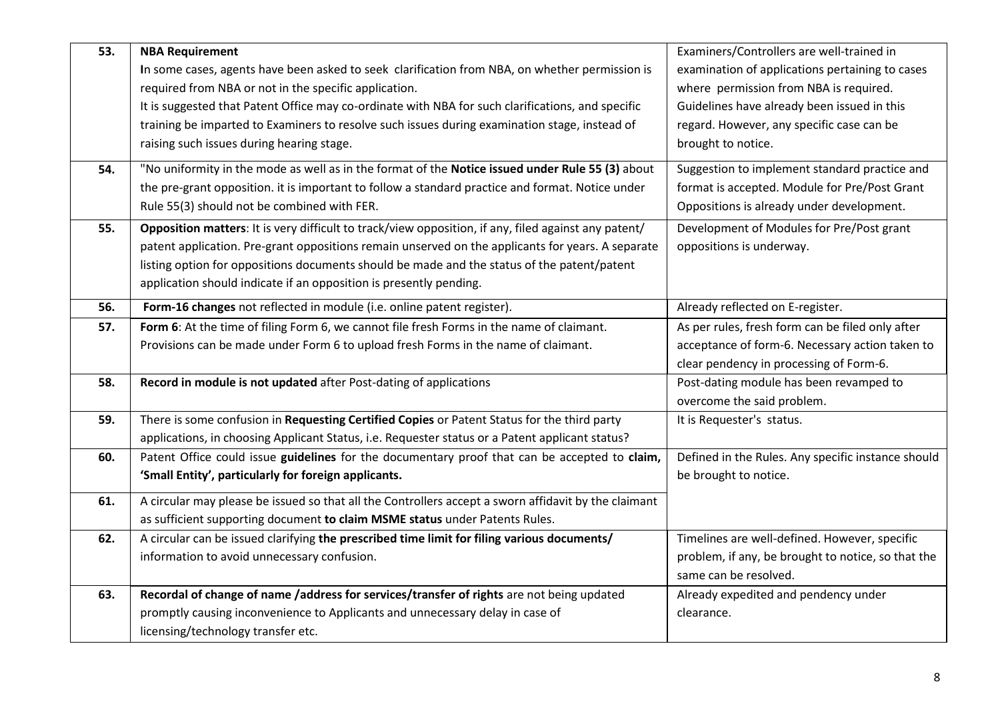| 53. | <b>NBA Requirement</b>                                                                               | Examiners/Controllers are well-trained in          |
|-----|------------------------------------------------------------------------------------------------------|----------------------------------------------------|
|     | In some cases, agents have been asked to seek clarification from NBA, on whether permission is       | examination of applications pertaining to cases    |
|     | required from NBA or not in the specific application.                                                | where permission from NBA is required.             |
|     | It is suggested that Patent Office may co-ordinate with NBA for such clarifications, and specific    | Guidelines have already been issued in this        |
|     | training be imparted to Examiners to resolve such issues during examination stage, instead of        | regard. However, any specific case can be          |
|     | raising such issues during hearing stage.                                                            | brought to notice.                                 |
| 54. | "No uniformity in the mode as well as in the format of the Notice issued under Rule 55 (3) about     | Suggestion to implement standard practice and      |
|     | the pre-grant opposition. it is important to follow a standard practice and format. Notice under     | format is accepted. Module for Pre/Post Grant      |
|     | Rule 55(3) should not be combined with FER.                                                          | Oppositions is already under development.          |
| 55. | Opposition matters: It is very difficult to track/view opposition, if any, filed against any patent/ | Development of Modules for Pre/Post grant          |
|     | patent application. Pre-grant oppositions remain unserved on the applicants for years. A separate    | oppositions is underway.                           |
|     | listing option for oppositions documents should be made and the status of the patent/patent          |                                                    |
|     | application should indicate if an opposition is presently pending.                                   |                                                    |
| 56. | Form-16 changes not reflected in module (i.e. online patent register).                               | Already reflected on E-register.                   |
| 57. | Form 6: At the time of filing Form 6, we cannot file fresh Forms in the name of claimant.            | As per rules, fresh form can be filed only after   |
|     | Provisions can be made under Form 6 to upload fresh Forms in the name of claimant.                   | acceptance of form-6. Necessary action taken to    |
|     |                                                                                                      | clear pendency in processing of Form-6.            |
| 58. | Record in module is not updated after Post-dating of applications                                    | Post-dating module has been revamped to            |
|     |                                                                                                      | overcome the said problem.                         |
| 59. | There is some confusion in Requesting Certified Copies or Patent Status for the third party          | It is Requester's status.                          |
|     | applications, in choosing Applicant Status, i.e. Requester status or a Patent applicant status?      |                                                    |
| 60. | Patent Office could issue guidelines for the documentary proof that can be accepted to claim,        | Defined in the Rules. Any specific instance should |
|     | 'Small Entity', particularly for foreign applicants.                                                 | be brought to notice.                              |
| 61. | A circular may please be issued so that all the Controllers accept a sworn affidavit by the claimant |                                                    |
|     | as sufficient supporting document to claim MSME status under Patents Rules.                          |                                                    |
| 62. | A circular can be issued clarifying the prescribed time limit for filing various documents/          | Timelines are well-defined. However, specific      |
|     | information to avoid unnecessary confusion.                                                          | problem, if any, be brought to notice, so that the |
|     |                                                                                                      | same can be resolved.                              |
| 63. | Recordal of change of name /address for services/transfer of rights are not being updated            | Already expedited and pendency under               |
|     | promptly causing inconvenience to Applicants and unnecessary delay in case of                        | clearance.                                         |
|     | licensing/technology transfer etc.                                                                   |                                                    |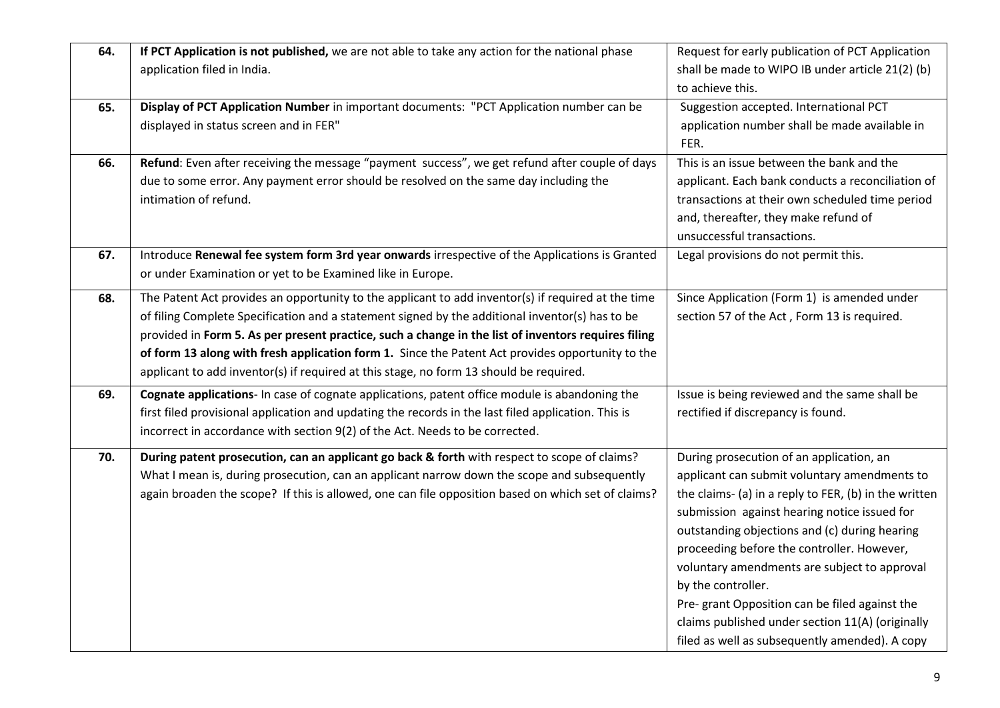| 64. | If PCT Application is not published, we are not able to take any action for the national phase<br>application filed in India.                                                                                                                                                                                                                                                                                                                                                                              | Request for early publication of PCT Application<br>shall be made to WIPO IB under article 21(2) (b)<br>to achieve this.                                                                                                                                                                                                                                                                                                                                                                                                       |
|-----|------------------------------------------------------------------------------------------------------------------------------------------------------------------------------------------------------------------------------------------------------------------------------------------------------------------------------------------------------------------------------------------------------------------------------------------------------------------------------------------------------------|--------------------------------------------------------------------------------------------------------------------------------------------------------------------------------------------------------------------------------------------------------------------------------------------------------------------------------------------------------------------------------------------------------------------------------------------------------------------------------------------------------------------------------|
| 65. | Display of PCT Application Number in important documents: "PCT Application number can be<br>displayed in status screen and in FER"                                                                                                                                                                                                                                                                                                                                                                         | Suggestion accepted. International PCT<br>application number shall be made available in<br>FER.                                                                                                                                                                                                                                                                                                                                                                                                                                |
| 66. | Refund: Even after receiving the message "payment success", we get refund after couple of days<br>due to some error. Any payment error should be resolved on the same day including the<br>intimation of refund.                                                                                                                                                                                                                                                                                           | This is an issue between the bank and the<br>applicant. Each bank conducts a reconciliation of<br>transactions at their own scheduled time period<br>and, thereafter, they make refund of<br>unsuccessful transactions.                                                                                                                                                                                                                                                                                                        |
| 67. | Introduce Renewal fee system form 3rd year onwards irrespective of the Applications is Granted<br>or under Examination or yet to be Examined like in Europe.                                                                                                                                                                                                                                                                                                                                               | Legal provisions do not permit this.                                                                                                                                                                                                                                                                                                                                                                                                                                                                                           |
| 68. | The Patent Act provides an opportunity to the applicant to add inventor(s) if required at the time<br>of filing Complete Specification and a statement signed by the additional inventor(s) has to be<br>provided in Form 5. As per present practice, such a change in the list of inventors requires filing<br>of form 13 along with fresh application form 1. Since the Patent Act provides opportunity to the<br>applicant to add inventor(s) if required at this stage, no form 13 should be required. | Since Application (Form 1) is amended under<br>section 57 of the Act, Form 13 is required.                                                                                                                                                                                                                                                                                                                                                                                                                                     |
| 69. | Cognate applications- In case of cognate applications, patent office module is abandoning the<br>first filed provisional application and updating the records in the last filed application. This is<br>incorrect in accordance with section 9(2) of the Act. Needs to be corrected.                                                                                                                                                                                                                       | Issue is being reviewed and the same shall be<br>rectified if discrepancy is found.                                                                                                                                                                                                                                                                                                                                                                                                                                            |
| 70. | During patent prosecution, can an applicant go back & forth with respect to scope of claims?<br>What I mean is, during prosecution, can an applicant narrow down the scope and subsequently<br>again broaden the scope? If this is allowed, one can file opposition based on which set of claims?                                                                                                                                                                                                          | During prosecution of an application, an<br>applicant can submit voluntary amendments to<br>the claims- (a) in a reply to FER, (b) in the written<br>submission against hearing notice issued for<br>outstanding objections and (c) during hearing<br>proceeding before the controller. However,<br>voluntary amendments are subject to approval<br>by the controller.<br>Pre- grant Opposition can be filed against the<br>claims published under section 11(A) (originally<br>filed as well as subsequently amended). A copy |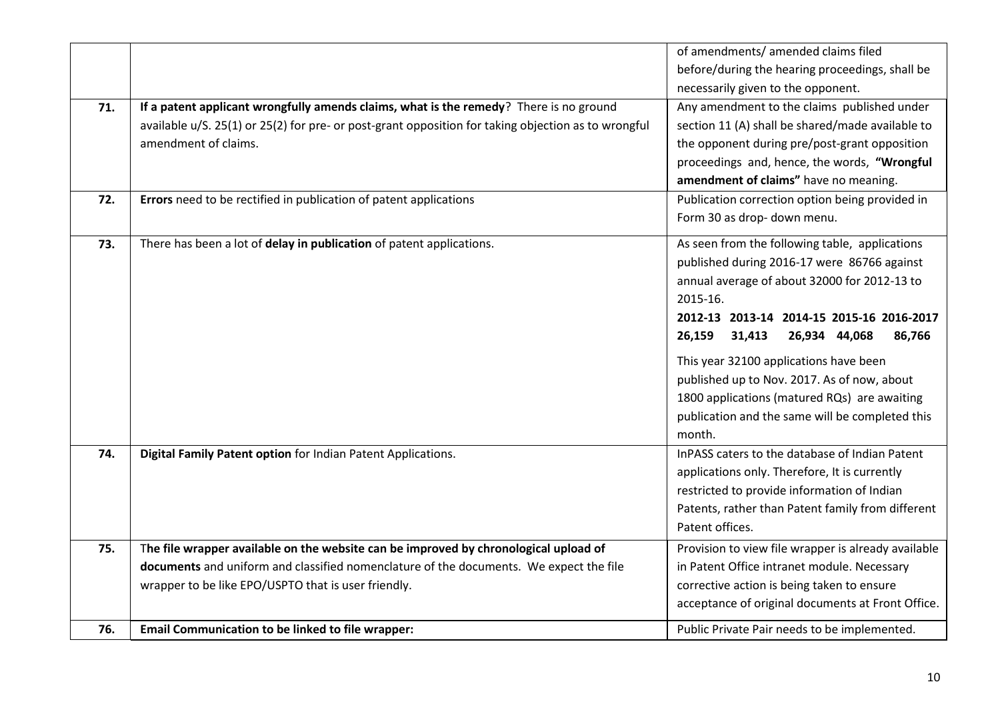|     |                                                                                                     | of amendments/ amended claims filed                 |
|-----|-----------------------------------------------------------------------------------------------------|-----------------------------------------------------|
|     |                                                                                                     | before/during the hearing proceedings, shall be     |
|     |                                                                                                     | necessarily given to the opponent.                  |
| 71. | If a patent applicant wrongfully amends claims, what is the remedy? There is no ground              | Any amendment to the claims published under         |
|     | available u/S. 25(1) or 25(2) for pre- or post-grant opposition for taking objection as to wrongful | section 11 (A) shall be shared/made available to    |
|     | amendment of claims.                                                                                | the opponent during pre/post-grant opposition       |
|     |                                                                                                     | proceedings and, hence, the words, "Wrongful        |
|     |                                                                                                     | amendment of claims" have no meaning.               |
| 72. | Errors need to be rectified in publication of patent applications                                   | Publication correction option being provided in     |
|     |                                                                                                     | Form 30 as drop- down menu.                         |
| 73. | There has been a lot of delay in publication of patent applications.                                | As seen from the following table, applications      |
|     |                                                                                                     | published during 2016-17 were 86766 against         |
|     |                                                                                                     | annual average of about 32000 for 2012-13 to        |
|     |                                                                                                     | 2015-16.                                            |
|     |                                                                                                     | 2012-13 2013-14 2014-15 2015-16 2016-2017           |
|     |                                                                                                     | 26,159<br>31,413<br>26,934 44,068<br>86,766         |
|     |                                                                                                     | This year 32100 applications have been              |
|     |                                                                                                     | published up to Nov. 2017. As of now, about         |
|     |                                                                                                     | 1800 applications (matured RQs) are awaiting        |
|     |                                                                                                     | publication and the same will be completed this     |
|     |                                                                                                     | month.                                              |
| 74. | Digital Family Patent option for Indian Patent Applications.                                        | InPASS caters to the database of Indian Patent      |
|     |                                                                                                     | applications only. Therefore, It is currently       |
|     |                                                                                                     | restricted to provide information of Indian         |
|     |                                                                                                     | Patents, rather than Patent family from different   |
|     |                                                                                                     | Patent offices.                                     |
| 75. | The file wrapper available on the website can be improved by chronological upload of                | Provision to view file wrapper is already available |
|     | documents and uniform and classified nomenclature of the documents. We expect the file              | in Patent Office intranet module. Necessary         |
|     | wrapper to be like EPO/USPTO that is user friendly.                                                 | corrective action is being taken to ensure          |
|     |                                                                                                     | acceptance of original documents at Front Office.   |
| 76. | Email Communication to be linked to file wrapper:                                                   | Public Private Pair needs to be implemented.        |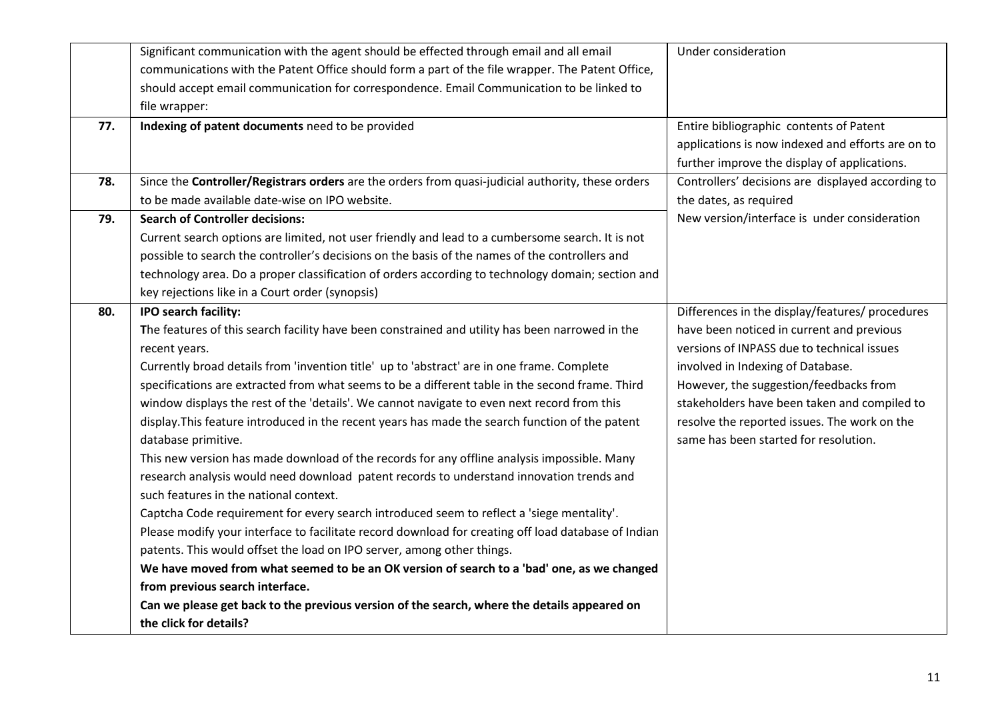|     | Significant communication with the agent should be effected through email and all email             | Under consideration                               |
|-----|-----------------------------------------------------------------------------------------------------|---------------------------------------------------|
|     | communications with the Patent Office should form a part of the file wrapper. The Patent Office,    |                                                   |
|     | should accept email communication for correspondence. Email Communication to be linked to           |                                                   |
|     | file wrapper:                                                                                       |                                                   |
| 77. | Indexing of patent documents need to be provided                                                    | Entire bibliographic contents of Patent           |
|     |                                                                                                     | applications is now indexed and efforts are on to |
|     |                                                                                                     | further improve the display of applications.      |
| 78. | Since the Controller/Registrars orders are the orders from quasi-judicial authority, these orders   | Controllers' decisions are displayed according to |
|     | to be made available date-wise on IPO website.                                                      | the dates, as required                            |
| 79. | <b>Search of Controller decisions:</b>                                                              | New version/interface is under consideration      |
|     | Current search options are limited, not user friendly and lead to a cumbersome search. It is not    |                                                   |
|     | possible to search the controller's decisions on the basis of the names of the controllers and      |                                                   |
|     | technology area. Do a proper classification of orders according to technology domain; section and   |                                                   |
|     | key rejections like in a Court order (synopsis)                                                     |                                                   |
| 80. | <b>IPO search facility:</b>                                                                         | Differences in the display/features/ procedures   |
|     | The features of this search facility have been constrained and utility has been narrowed in the     | have been noticed in current and previous         |
|     | recent years.                                                                                       | versions of INPASS due to technical issues        |
|     | Currently broad details from 'invention title' up to 'abstract' are in one frame. Complete          | involved in Indexing of Database.                 |
|     | specifications are extracted from what seems to be a different table in the second frame. Third     | However, the suggestion/feedbacks from            |
|     | window displays the rest of the 'details'. We cannot navigate to even next record from this         | stakeholders have been taken and compiled to      |
|     | display. This feature introduced in the recent years has made the search function of the patent     | resolve the reported issues. The work on the      |
|     | database primitive.                                                                                 | same has been started for resolution.             |
|     | This new version has made download of the records for any offline analysis impossible. Many         |                                                   |
|     | research analysis would need download patent records to understand innovation trends and            |                                                   |
|     | such features in the national context.                                                              |                                                   |
|     | Captcha Code requirement for every search introduced seem to reflect a 'siege mentality'.           |                                                   |
|     | Please modify your interface to facilitate record download for creating off load database of Indian |                                                   |
|     | patents. This would offset the load on IPO server, among other things.                              |                                                   |
|     | We have moved from what seemed to be an OK version of search to a 'bad' one, as we changed          |                                                   |
|     | from previous search interface.                                                                     |                                                   |
|     | Can we please get back to the previous version of the search, where the details appeared on         |                                                   |
|     | the click for details?                                                                              |                                                   |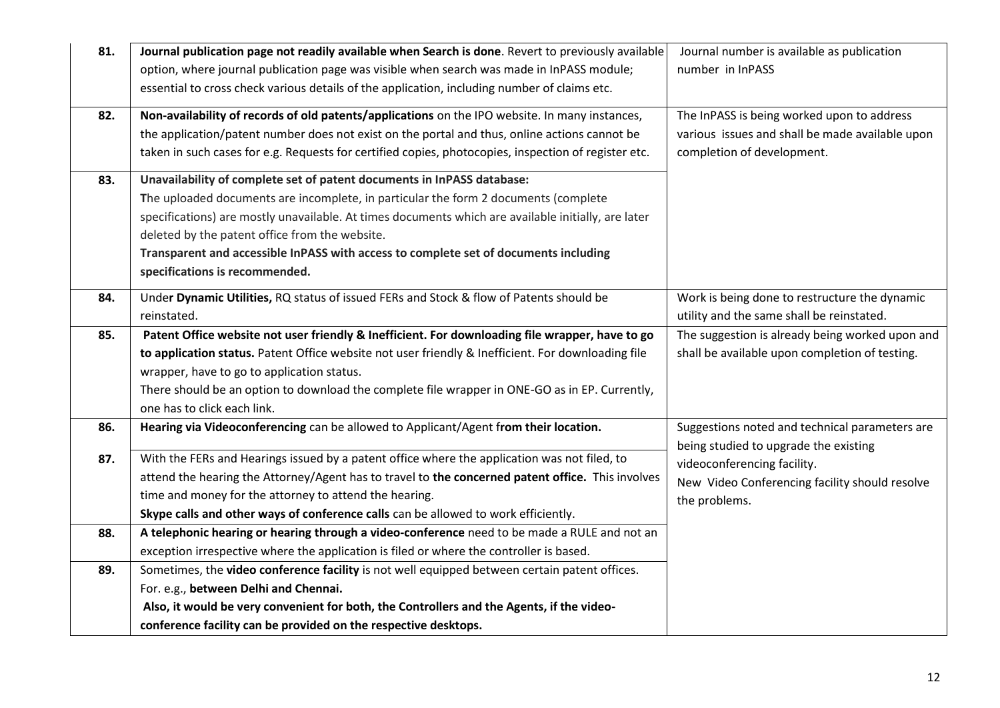| 81. | Journal publication page not readily available when Search is done. Revert to previously available   | Journal number is available as publication                                              |
|-----|------------------------------------------------------------------------------------------------------|-----------------------------------------------------------------------------------------|
|     | option, where journal publication page was visible when search was made in InPASS module;            | number in InPASS                                                                        |
|     | essential to cross check various details of the application, including number of claims etc.         |                                                                                         |
| 82. | Non-availability of records of old patents/applications on the IPO website. In many instances,       | The InPASS is being worked upon to address                                              |
|     | the application/patent number does not exist on the portal and thus, online actions cannot be        | various issues and shall be made available upon                                         |
|     | taken in such cases for e.g. Requests for certified copies, photocopies, inspection of register etc. | completion of development.                                                              |
| 83. | Unavailability of complete set of patent documents in InPASS database:                               |                                                                                         |
|     | The uploaded documents are incomplete, in particular the form 2 documents (complete                  |                                                                                         |
|     | specifications) are mostly unavailable. At times documents which are available initially, are later  |                                                                                         |
|     | deleted by the patent office from the website.                                                       |                                                                                         |
|     | Transparent and accessible InPASS with access to complete set of documents including                 |                                                                                         |
|     | specifications is recommended.                                                                       |                                                                                         |
| 84. | Under Dynamic Utilities, RQ status of issued FERs and Stock & flow of Patents should be              | Work is being done to restructure the dynamic                                           |
|     | reinstated.                                                                                          | utility and the same shall be reinstated.                                               |
| 85. | Patent Office website not user friendly & Inefficient. For downloading file wrapper, have to go      | The suggestion is already being worked upon and                                         |
|     | to application status. Patent Office website not user friendly & Inefficient. For downloading file   | shall be available upon completion of testing.                                          |
|     | wrapper, have to go to application status.                                                           |                                                                                         |
|     | There should be an option to download the complete file wrapper in ONE-GO as in EP. Currently,       |                                                                                         |
|     | one has to click each link.                                                                          |                                                                                         |
| 86. | Hearing via Videoconferencing can be allowed to Applicant/Agent from their location.                 | Suggestions noted and technical parameters are<br>being studied to upgrade the existing |
| 87. | With the FERs and Hearings issued by a patent office where the application was not filed, to         | videoconferencing facility.                                                             |
|     | attend the hearing the Attorney/Agent has to travel to the concerned patent office. This involves    | New Video Conferencing facility should resolve                                          |
|     | time and money for the attorney to attend the hearing.                                               | the problems.                                                                           |
|     | Skype calls and other ways of conference calls can be allowed to work efficiently.                   |                                                                                         |
| 88. | A telephonic hearing or hearing through a video-conference need to be made a RULE and not an         |                                                                                         |
|     | exception irrespective where the application is filed or where the controller is based.              |                                                                                         |
| 89. | Sometimes, the video conference facility is not well equipped between certain patent offices.        |                                                                                         |
|     | For. e.g., between Delhi and Chennai.                                                                |                                                                                         |
|     | Also, it would be very convenient for both, the Controllers and the Agents, if the video-            |                                                                                         |
|     | conference facility can be provided on the respective desktops.                                      |                                                                                         |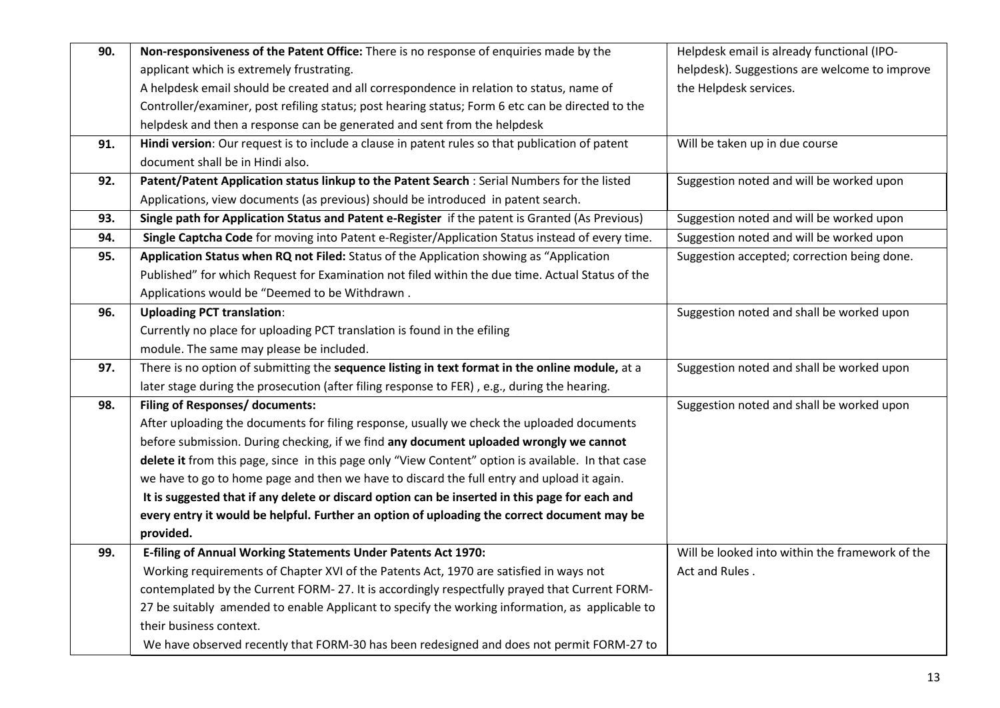| 90. | Non-responsiveness of the Patent Office: There is no response of enquiries made by the             | Helpdesk email is already functional (IPO-      |
|-----|----------------------------------------------------------------------------------------------------|-------------------------------------------------|
|     | applicant which is extremely frustrating.                                                          | helpdesk). Suggestions are welcome to improve   |
|     | A helpdesk email should be created and all correspondence in relation to status, name of           | the Helpdesk services.                          |
|     | Controller/examiner, post refiling status; post hearing status; Form 6 etc can be directed to the  |                                                 |
|     | helpdesk and then a response can be generated and sent from the helpdesk                           |                                                 |
| 91. | Hindi version: Our request is to include a clause in patent rules so that publication of patent    | Will be taken up in due course                  |
|     | document shall be in Hindi also.                                                                   |                                                 |
| 92. | Patent/Patent Application status linkup to the Patent Search : Serial Numbers for the listed       | Suggestion noted and will be worked upon        |
|     | Applications, view documents (as previous) should be introduced in patent search.                  |                                                 |
| 93. | Single path for Application Status and Patent e-Register if the patent is Granted (As Previous)    | Suggestion noted and will be worked upon        |
| 94. | Single Captcha Code for moving into Patent e-Register/Application Status instead of every time.    | Suggestion noted and will be worked upon        |
| 95. | Application Status when RQ not Filed: Status of the Application showing as "Application            | Suggestion accepted; correction being done.     |
|     | Published" for which Request for Examination not filed within the due time. Actual Status of the   |                                                 |
|     | Applications would be "Deemed to be Withdrawn.                                                     |                                                 |
| 96. | <b>Uploading PCT translation:</b>                                                                  | Suggestion noted and shall be worked upon       |
|     | Currently no place for uploading PCT translation is found in the efiling                           |                                                 |
|     | module. The same may please be included.                                                           |                                                 |
| 97. | There is no option of submitting the sequence listing in text format in the online module, at a    | Suggestion noted and shall be worked upon       |
|     | later stage during the prosecution (after filing response to FER), e.g., during the hearing.       |                                                 |
| 98. | Filing of Responses/ documents:                                                                    | Suggestion noted and shall be worked upon       |
|     | After uploading the documents for filing response, usually we check the uploaded documents         |                                                 |
|     | before submission. During checking, if we find any document uploaded wrongly we cannot             |                                                 |
|     | delete it from this page, since in this page only "View Content" option is available. In that case |                                                 |
|     | we have to go to home page and then we have to discard the full entry and upload it again.         |                                                 |
|     | It is suggested that if any delete or discard option can be inserted in this page for each and     |                                                 |
|     | every entry it would be helpful. Further an option of uploading the correct document may be        |                                                 |
|     | provided.                                                                                          |                                                 |
| 99. | E-filing of Annual Working Statements Under Patents Act 1970:                                      | Will be looked into within the framework of the |
|     | Working requirements of Chapter XVI of the Patents Act, 1970 are satisfied in ways not             | Act and Rules.                                  |
|     | contemplated by the Current FORM-27. It is accordingly respectfully prayed that Current FORM-      |                                                 |
|     | 27 be suitably amended to enable Applicant to specify the working information, as applicable to    |                                                 |
|     | their business context.                                                                            |                                                 |
|     | We have observed recently that FORM-30 has been redesigned and does not permit FORM-27 to          |                                                 |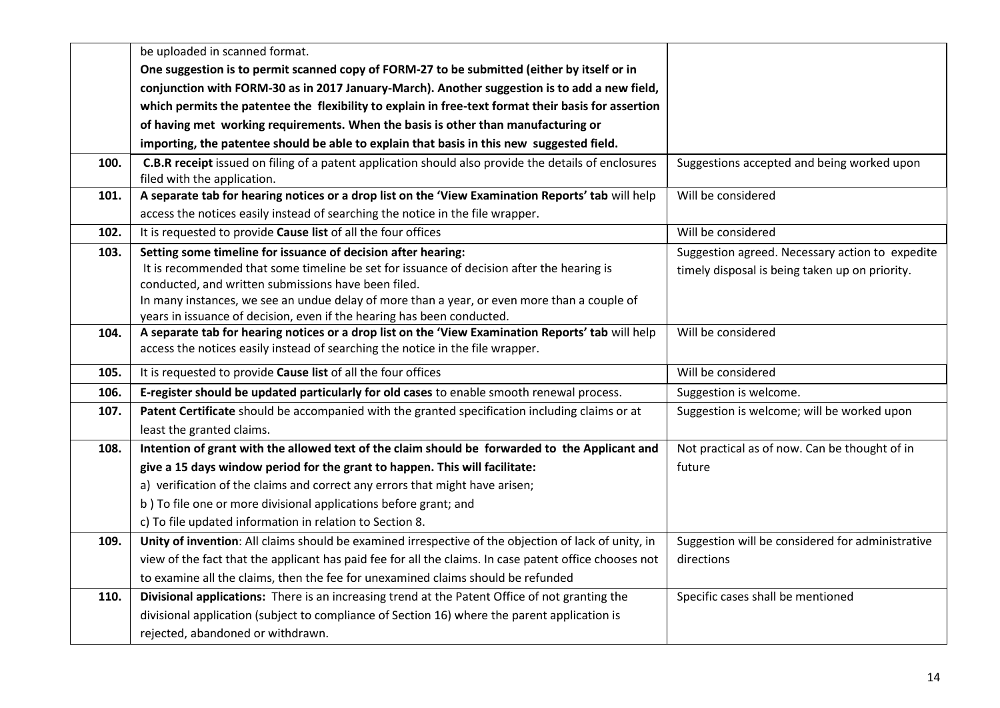|      | be uploaded in scanned format.                                                                                                                                              |                                                  |
|------|-----------------------------------------------------------------------------------------------------------------------------------------------------------------------------|--------------------------------------------------|
|      | One suggestion is to permit scanned copy of FORM-27 to be submitted (either by itself or in                                                                                 |                                                  |
|      | conjunction with FORM-30 as in 2017 January-March). Another suggestion is to add a new field,                                                                               |                                                  |
|      | which permits the patentee the flexibility to explain in free-text format their basis for assertion                                                                         |                                                  |
|      | of having met working requirements. When the basis is other than manufacturing or                                                                                           |                                                  |
|      | importing, the patentee should be able to explain that basis in this new suggested field.                                                                                   |                                                  |
| 100. | <b>C.B.R receipt</b> issued on filing of a patent application should also provide the details of enclosures<br>filed with the application.                                  | Suggestions accepted and being worked upon       |
| 101. | A separate tab for hearing notices or a drop list on the 'View Examination Reports' tab will help                                                                           | Will be considered                               |
|      | access the notices easily instead of searching the notice in the file wrapper.                                                                                              |                                                  |
| 102. | It is requested to provide Cause list of all the four offices                                                                                                               | Will be considered                               |
| 103. | Setting some timeline for issuance of decision after hearing:                                                                                                               | Suggestion agreed. Necessary action to expedite  |
|      | It is recommended that some timeline be set for issuance of decision after the hearing is                                                                                   | timely disposal is being taken up on priority.   |
|      | conducted, and written submissions have been filed.                                                                                                                         |                                                  |
|      | In many instances, we see an undue delay of more than a year, or even more than a couple of                                                                                 |                                                  |
| 104. | years in issuance of decision, even if the hearing has been conducted.<br>A separate tab for hearing notices or a drop list on the 'View Examination Reports' tab will help | Will be considered                               |
|      | access the notices easily instead of searching the notice in the file wrapper.                                                                                              |                                                  |
| 105. | It is requested to provide Cause list of all the four offices                                                                                                               | Will be considered                               |
| 106. | E-register should be updated particularly for old cases to enable smooth renewal process.                                                                                   | Suggestion is welcome.                           |
| 107. | Patent Certificate should be accompanied with the granted specification including claims or at                                                                              | Suggestion is welcome; will be worked upon       |
|      | least the granted claims.                                                                                                                                                   |                                                  |
| 108. | Intention of grant with the allowed text of the claim should be forwarded to the Applicant and                                                                              | Not practical as of now. Can be thought of in    |
|      | give a 15 days window period for the grant to happen. This will facilitate:                                                                                                 | future                                           |
|      | a) verification of the claims and correct any errors that might have arisen;                                                                                                |                                                  |
|      | b) To file one or more divisional applications before grant; and                                                                                                            |                                                  |
|      | c) To file updated information in relation to Section 8.                                                                                                                    |                                                  |
| 109. | Unity of invention: All claims should be examined irrespective of the objection of lack of unity, in                                                                        | Suggestion will be considered for administrative |
|      | view of the fact that the applicant has paid fee for all the claims. In case patent office chooses not                                                                      | directions                                       |
|      | to examine all the claims, then the fee for unexamined claims should be refunded                                                                                            |                                                  |
| 110. | Divisional applications: There is an increasing trend at the Patent Office of not granting the                                                                              | Specific cases shall be mentioned                |
|      | divisional application (subject to compliance of Section 16) where the parent application is                                                                                |                                                  |
|      | rejected, abandoned or withdrawn.                                                                                                                                           |                                                  |
|      |                                                                                                                                                                             |                                                  |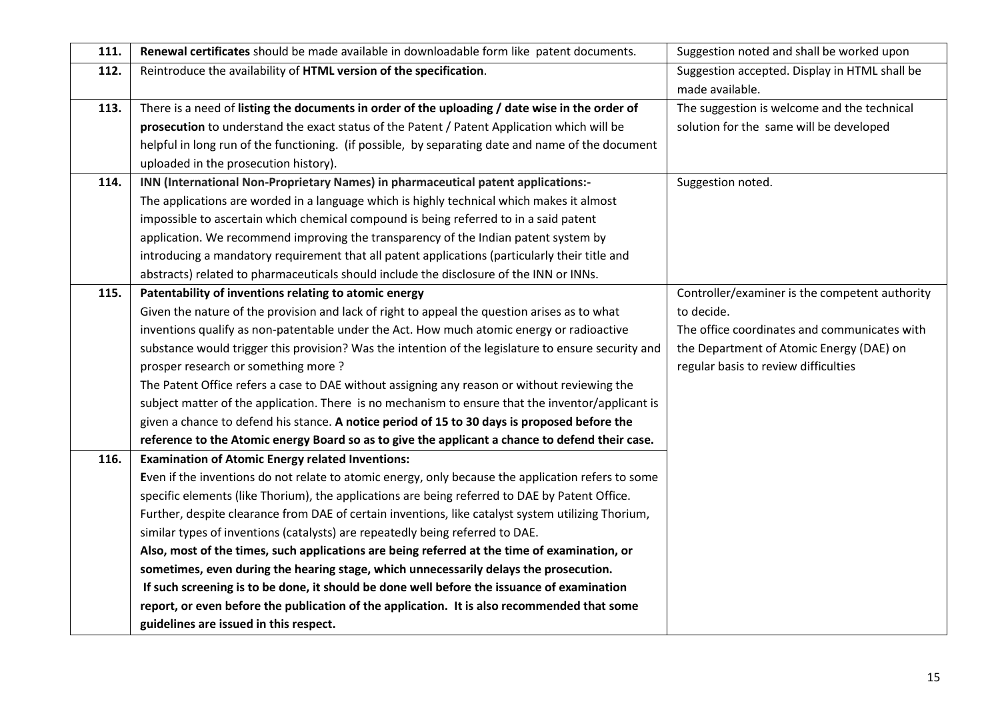| 111. | Renewal certificates should be made available in downloadable form like patent documents.           | Suggestion noted and shall be worked upon      |
|------|-----------------------------------------------------------------------------------------------------|------------------------------------------------|
| 112. | Reintroduce the availability of HTML version of the specification.                                  | Suggestion accepted. Display in HTML shall be  |
|      |                                                                                                     | made available.                                |
| 113. | There is a need of listing the documents in order of the uploading / date wise in the order of      | The suggestion is welcome and the technical    |
|      | prosecution to understand the exact status of the Patent / Patent Application which will be         | solution for the same will be developed        |
|      | helpful in long run of the functioning. (if possible, by separating date and name of the document   |                                                |
|      | uploaded in the prosecution history).                                                               |                                                |
| 114. | INN (International Non-Proprietary Names) in pharmaceutical patent applications:-                   | Suggestion noted.                              |
|      | The applications are worded in a language which is highly technical which makes it almost           |                                                |
|      | impossible to ascertain which chemical compound is being referred to in a said patent               |                                                |
|      | application. We recommend improving the transparency of the Indian patent system by                 |                                                |
|      | introducing a mandatory requirement that all patent applications (particularly their title and      |                                                |
|      | abstracts) related to pharmaceuticals should include the disclosure of the INN or INNs.             |                                                |
| 115. | Patentability of inventions relating to atomic energy                                               | Controller/examiner is the competent authority |
|      | Given the nature of the provision and lack of right to appeal the question arises as to what        | to decide.                                     |
|      | inventions qualify as non-patentable under the Act. How much atomic energy or radioactive           | The office coordinates and communicates with   |
|      | substance would trigger this provision? Was the intention of the legislature to ensure security and | the Department of Atomic Energy (DAE) on       |
|      | prosper research or something more?                                                                 | regular basis to review difficulties           |
|      | The Patent Office refers a case to DAE without assigning any reason or without reviewing the        |                                                |
|      | subject matter of the application. There is no mechanism to ensure that the inventor/applicant is   |                                                |
|      | given a chance to defend his stance. A notice period of 15 to 30 days is proposed before the        |                                                |
|      | reference to the Atomic energy Board so as to give the applicant a chance to defend their case.     |                                                |
| 116. | <b>Examination of Atomic Energy related Inventions:</b>                                             |                                                |
|      | Even if the inventions do not relate to atomic energy, only because the application refers to some  |                                                |
|      | specific elements (like Thorium), the applications are being referred to DAE by Patent Office.      |                                                |
|      | Further, despite clearance from DAE of certain inventions, like catalyst system utilizing Thorium,  |                                                |
|      | similar types of inventions (catalysts) are repeatedly being referred to DAE.                       |                                                |
|      | Also, most of the times, such applications are being referred at the time of examination, or        |                                                |
|      | sometimes, even during the hearing stage, which unnecessarily delays the prosecution.               |                                                |
|      | If such screening is to be done, it should be done well before the issuance of examination          |                                                |
|      | report, or even before the publication of the application. It is also recommended that some         |                                                |
|      | guidelines are issued in this respect.                                                              |                                                |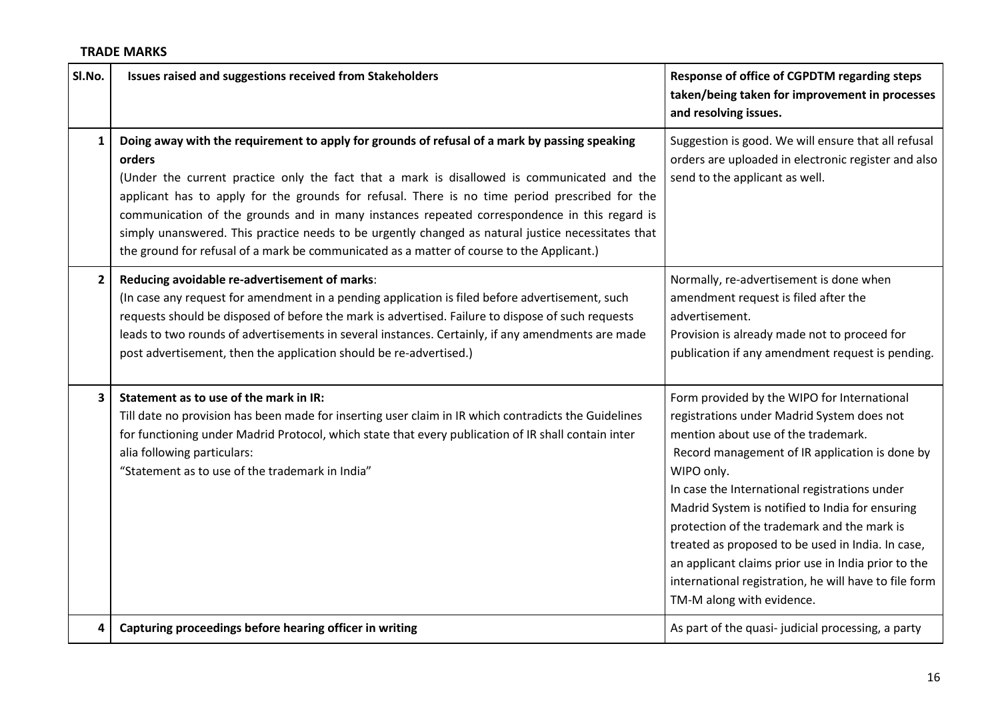## **TRADE MARKS**

| SI.No.       | Issues raised and suggestions received from Stakeholders                                                                                                                                                                                                                                                                                                                                                                                                                                                                                                                                                    | Response of office of CGPDTM regarding steps<br>taken/being taken for improvement in processes<br>and resolving issues.                                                                                                                                                                                                                                                                                                                                                                                                                               |
|--------------|-------------------------------------------------------------------------------------------------------------------------------------------------------------------------------------------------------------------------------------------------------------------------------------------------------------------------------------------------------------------------------------------------------------------------------------------------------------------------------------------------------------------------------------------------------------------------------------------------------------|-------------------------------------------------------------------------------------------------------------------------------------------------------------------------------------------------------------------------------------------------------------------------------------------------------------------------------------------------------------------------------------------------------------------------------------------------------------------------------------------------------------------------------------------------------|
| 1            | Doing away with the requirement to apply for grounds of refusal of a mark by passing speaking<br>orders<br>(Under the current practice only the fact that a mark is disallowed is communicated and the<br>applicant has to apply for the grounds for refusal. There is no time period prescribed for the<br>communication of the grounds and in many instances repeated correspondence in this regard is<br>simply unanswered. This practice needs to be urgently changed as natural justice necessitates that<br>the ground for refusal of a mark be communicated as a matter of course to the Applicant.) | Suggestion is good. We will ensure that all refusal<br>orders are uploaded in electronic register and also<br>send to the applicant as well.                                                                                                                                                                                                                                                                                                                                                                                                          |
| $\mathbf{2}$ | Reducing avoidable re-advertisement of marks:<br>(In case any request for amendment in a pending application is filed before advertisement, such<br>requests should be disposed of before the mark is advertised. Failure to dispose of such requests<br>leads to two rounds of advertisements in several instances. Certainly, if any amendments are made<br>post advertisement, then the application should be re-advertised.)                                                                                                                                                                            | Normally, re-advertisement is done when<br>amendment request is filed after the<br>advertisement.<br>Provision is already made not to proceed for<br>publication if any amendment request is pending.                                                                                                                                                                                                                                                                                                                                                 |
| 3            | Statement as to use of the mark in IR:<br>Till date no provision has been made for inserting user claim in IR which contradicts the Guidelines<br>for functioning under Madrid Protocol, which state that every publication of IR shall contain inter<br>alia following particulars:<br>"Statement as to use of the trademark in India"                                                                                                                                                                                                                                                                     | Form provided by the WIPO for International<br>registrations under Madrid System does not<br>mention about use of the trademark.<br>Record management of IR application is done by<br>WIPO only.<br>In case the International registrations under<br>Madrid System is notified to India for ensuring<br>protection of the trademark and the mark is<br>treated as proposed to be used in India. In case,<br>an applicant claims prior use in India prior to the<br>international registration, he will have to file form<br>TM-M along with evidence. |
| 4            | Capturing proceedings before hearing officer in writing                                                                                                                                                                                                                                                                                                                                                                                                                                                                                                                                                     | As part of the quasi- judicial processing, a party                                                                                                                                                                                                                                                                                                                                                                                                                                                                                                    |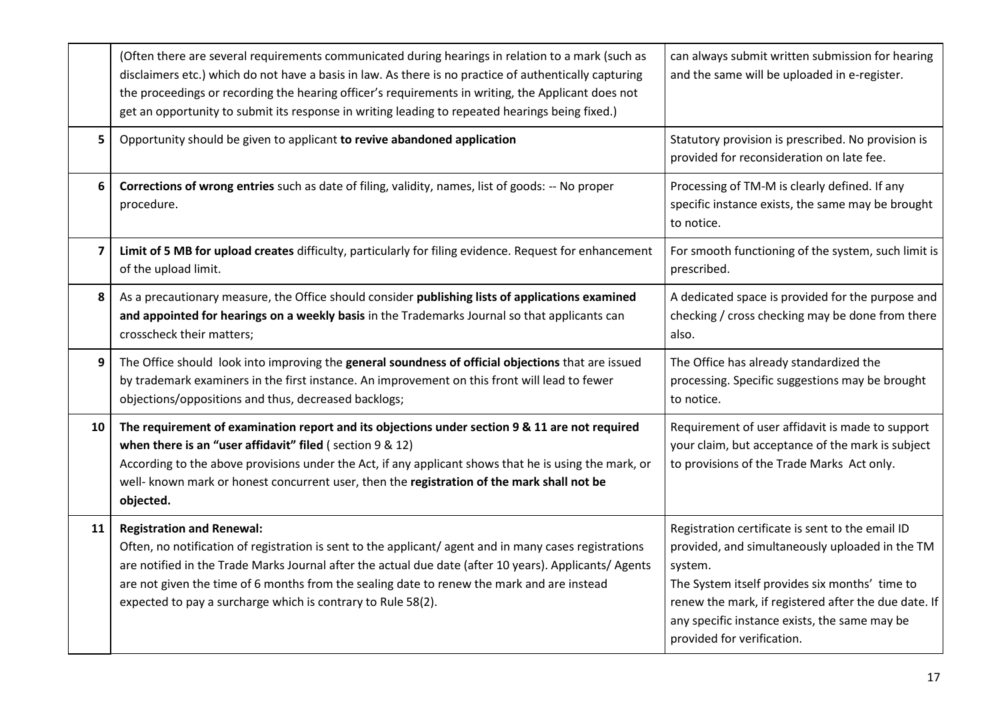|                         | (Often there are several requirements communicated during hearings in relation to a mark (such as<br>disclaimers etc.) which do not have a basis in law. As there is no practice of authentically capturing<br>the proceedings or recording the hearing officer's requirements in writing, the Applicant does not<br>get an opportunity to submit its response in writing leading to repeated hearings being fixed.) | can always submit written submission for hearing<br>and the same will be uploaded in e-register.                                                                                                                                                                                                        |
|-------------------------|----------------------------------------------------------------------------------------------------------------------------------------------------------------------------------------------------------------------------------------------------------------------------------------------------------------------------------------------------------------------------------------------------------------------|---------------------------------------------------------------------------------------------------------------------------------------------------------------------------------------------------------------------------------------------------------------------------------------------------------|
| 5                       | Opportunity should be given to applicant to revive abandoned application                                                                                                                                                                                                                                                                                                                                             | Statutory provision is prescribed. No provision is<br>provided for reconsideration on late fee.                                                                                                                                                                                                         |
| 6                       | Corrections of wrong entries such as date of filing, validity, names, list of goods: -- No proper<br>procedure.                                                                                                                                                                                                                                                                                                      | Processing of TM-M is clearly defined. If any<br>specific instance exists, the same may be brought<br>to notice.                                                                                                                                                                                        |
| $\overline{\mathbf{z}}$ | Limit of 5 MB for upload creates difficulty, particularly for filing evidence. Request for enhancement<br>of the upload limit.                                                                                                                                                                                                                                                                                       | For smooth functioning of the system, such limit is<br>prescribed.                                                                                                                                                                                                                                      |
| 8                       | As a precautionary measure, the Office should consider publishing lists of applications examined<br>and appointed for hearings on a weekly basis in the Trademarks Journal so that applicants can<br>crosscheck their matters;                                                                                                                                                                                       | A dedicated space is provided for the purpose and<br>checking / cross checking may be done from there<br>also.                                                                                                                                                                                          |
| 9                       | The Office should look into improving the general soundness of official objections that are issued<br>by trademark examiners in the first instance. An improvement on this front will lead to fewer<br>objections/oppositions and thus, decreased backlogs;                                                                                                                                                          | The Office has already standardized the<br>processing. Specific suggestions may be brought<br>to notice.                                                                                                                                                                                                |
| 10                      | The requirement of examination report and its objections under section 9 & 11 are not required<br>when there is an "user affidavit" filed (section 9 & 12)<br>According to the above provisions under the Act, if any applicant shows that he is using the mark, or<br>well- known mark or honest concurrent user, then the registration of the mark shall not be<br>objected.                                       | Requirement of user affidavit is made to support<br>your claim, but acceptance of the mark is subject<br>to provisions of the Trade Marks Act only.                                                                                                                                                     |
| 11                      | <b>Registration and Renewal:</b><br>Often, no notification of registration is sent to the applicant/agent and in many cases registrations<br>are notified in the Trade Marks Journal after the actual due date (after 10 years). Applicants/ Agents<br>are not given the time of 6 months from the sealing date to renew the mark and are instead<br>expected to pay a surcharge which is contrary to Rule 58(2).    | Registration certificate is sent to the email ID<br>provided, and simultaneously uploaded in the TM<br>system.<br>The System itself provides six months' time to<br>renew the mark, if registered after the due date. If<br>any specific instance exists, the same may be<br>provided for verification. |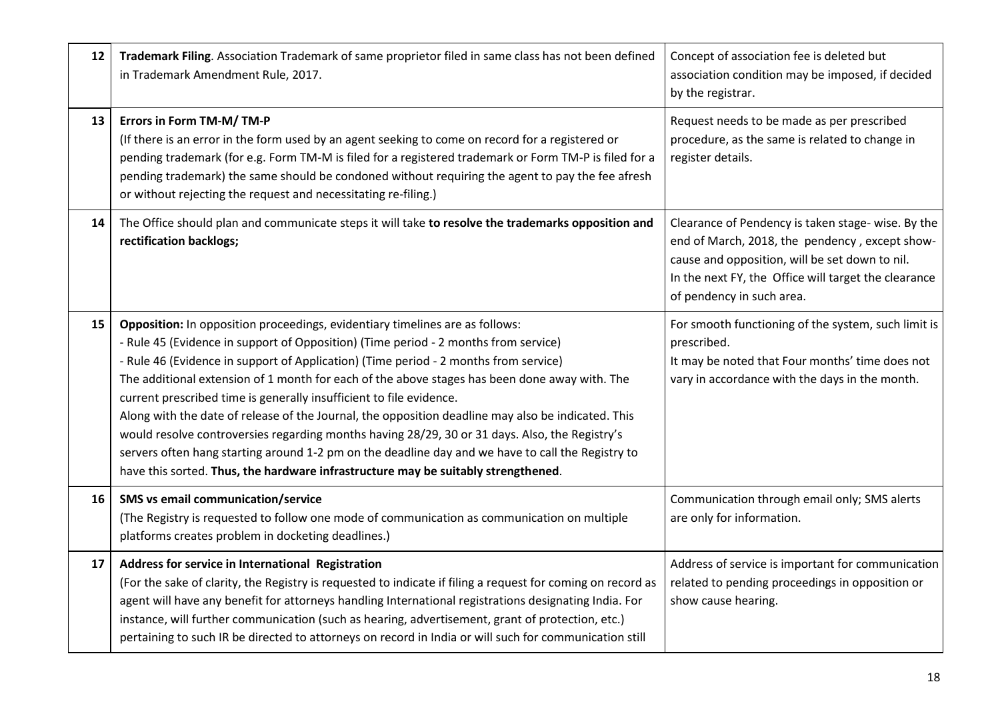| 12 | Trademark Filing. Association Trademark of same proprietor filed in same class has not been defined<br>in Trademark Amendment Rule, 2017.                                                                                                                                                                                                                                                                                                                                                                                                                                                                                                                                                                                                                                                                                             | Concept of association fee is deleted but<br>association condition may be imposed, if decided<br>by the registrar.                                                                                                                          |
|----|---------------------------------------------------------------------------------------------------------------------------------------------------------------------------------------------------------------------------------------------------------------------------------------------------------------------------------------------------------------------------------------------------------------------------------------------------------------------------------------------------------------------------------------------------------------------------------------------------------------------------------------------------------------------------------------------------------------------------------------------------------------------------------------------------------------------------------------|---------------------------------------------------------------------------------------------------------------------------------------------------------------------------------------------------------------------------------------------|
| 13 | Errors in Form TM-M/TM-P<br>(If there is an error in the form used by an agent seeking to come on record for a registered or<br>pending trademark (for e.g. Form TM-M is filed for a registered trademark or Form TM-P is filed for a<br>pending trademark) the same should be condoned without requiring the agent to pay the fee afresh<br>or without rejecting the request and necessitating re-filing.)                                                                                                                                                                                                                                                                                                                                                                                                                           | Request needs to be made as per prescribed<br>procedure, as the same is related to change in<br>register details.                                                                                                                           |
| 14 | The Office should plan and communicate steps it will take to resolve the trademarks opposition and<br>rectification backlogs;                                                                                                                                                                                                                                                                                                                                                                                                                                                                                                                                                                                                                                                                                                         | Clearance of Pendency is taken stage- wise. By the<br>end of March, 2018, the pendency, except show-<br>cause and opposition, will be set down to nil.<br>In the next FY, the Office will target the clearance<br>of pendency in such area. |
| 15 | Opposition: In opposition proceedings, evidentiary timelines are as follows:<br>- Rule 45 (Evidence in support of Opposition) (Time period - 2 months from service)<br>- Rule 46 (Evidence in support of Application) (Time period - 2 months from service)<br>The additional extension of 1 month for each of the above stages has been done away with. The<br>current prescribed time is generally insufficient to file evidence.<br>Along with the date of release of the Journal, the opposition deadline may also be indicated. This<br>would resolve controversies regarding months having 28/29, 30 or 31 days. Also, the Registry's<br>servers often hang starting around 1-2 pm on the deadline day and we have to call the Registry to<br>have this sorted. Thus, the hardware infrastructure may be suitably strengthened. | For smooth functioning of the system, such limit is<br>prescribed.<br>It may be noted that Four months' time does not<br>vary in accordance with the days in the month.                                                                     |
| 16 | SMS vs email communication/service<br>(The Registry is requested to follow one mode of communication as communication on multiple<br>platforms creates problem in docketing deadlines.)                                                                                                                                                                                                                                                                                                                                                                                                                                                                                                                                                                                                                                               | Communication through email only; SMS alerts<br>are only for information.                                                                                                                                                                   |
| 17 | Address for service in International Registration<br>(For the sake of clarity, the Registry is requested to indicate if filing a request for coming on record as<br>agent will have any benefit for attorneys handling International registrations designating India. For<br>instance, will further communication (such as hearing, advertisement, grant of protection, etc.)<br>pertaining to such IR be directed to attorneys on record in India or will such for communication still                                                                                                                                                                                                                                                                                                                                               | Address of service is important for communication<br>related to pending proceedings in opposition or<br>show cause hearing.                                                                                                                 |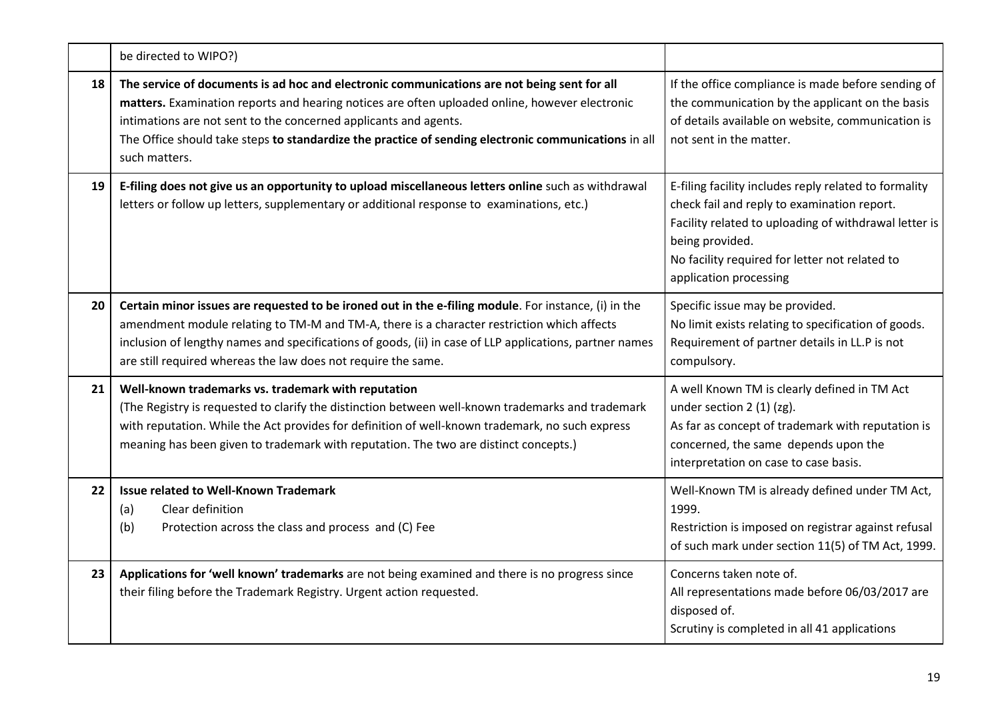|    | be directed to WIPO?)                                                                                                                                                                                                                                                                                                                                                                      |                                                                                                                                                                                                                                                              |
|----|--------------------------------------------------------------------------------------------------------------------------------------------------------------------------------------------------------------------------------------------------------------------------------------------------------------------------------------------------------------------------------------------|--------------------------------------------------------------------------------------------------------------------------------------------------------------------------------------------------------------------------------------------------------------|
| 18 | The service of documents is ad hoc and electronic communications are not being sent for all<br>matters. Examination reports and hearing notices are often uploaded online, however electronic<br>intimations are not sent to the concerned applicants and agents.<br>The Office should take steps to standardize the practice of sending electronic communications in all<br>such matters. | If the office compliance is made before sending of<br>the communication by the applicant on the basis<br>of details available on website, communication is<br>not sent in the matter.                                                                        |
| 19 | E-filing does not give us an opportunity to upload miscellaneous letters online such as withdrawal<br>letters or follow up letters, supplementary or additional response to examinations, etc.)                                                                                                                                                                                            | E-filing facility includes reply related to formality<br>check fail and reply to examination report.<br>Facility related to uploading of withdrawal letter is<br>being provided.<br>No facility required for letter not related to<br>application processing |
| 20 | Certain minor issues are requested to be ironed out in the e-filing module. For instance, (i) in the<br>amendment module relating to TM-M and TM-A, there is a character restriction which affects<br>inclusion of lengthy names and specifications of goods, (ii) in case of LLP applications, partner names<br>are still required whereas the law does not require the same.             | Specific issue may be provided.<br>No limit exists relating to specification of goods.<br>Requirement of partner details in LL.P is not<br>compulsory.                                                                                                       |
| 21 | Well-known trademarks vs. trademark with reputation<br>(The Registry is requested to clarify the distinction between well-known trademarks and trademark<br>with reputation. While the Act provides for definition of well-known trademark, no such express<br>meaning has been given to trademark with reputation. The two are distinct concepts.)                                        | A well Known TM is clearly defined in TM Act<br>under section 2 (1) (zg).<br>As far as concept of trademark with reputation is<br>concerned, the same depends upon the<br>interpretation on case to case basis.                                              |
| 22 | <b>Issue related to Well-Known Trademark</b><br>(a)<br>Clear definition<br>(b)<br>Protection across the class and process and (C) Fee                                                                                                                                                                                                                                                      | Well-Known TM is already defined under TM Act,<br>1999.<br>Restriction is imposed on registrar against refusal<br>of such mark under section 11(5) of TM Act, 1999.                                                                                          |
| 23 | Applications for 'well known' trademarks are not being examined and there is no progress since<br>their filing before the Trademark Registry. Urgent action requested.                                                                                                                                                                                                                     | Concerns taken note of.<br>All representations made before 06/03/2017 are<br>disposed of.<br>Scrutiny is completed in all 41 applications                                                                                                                    |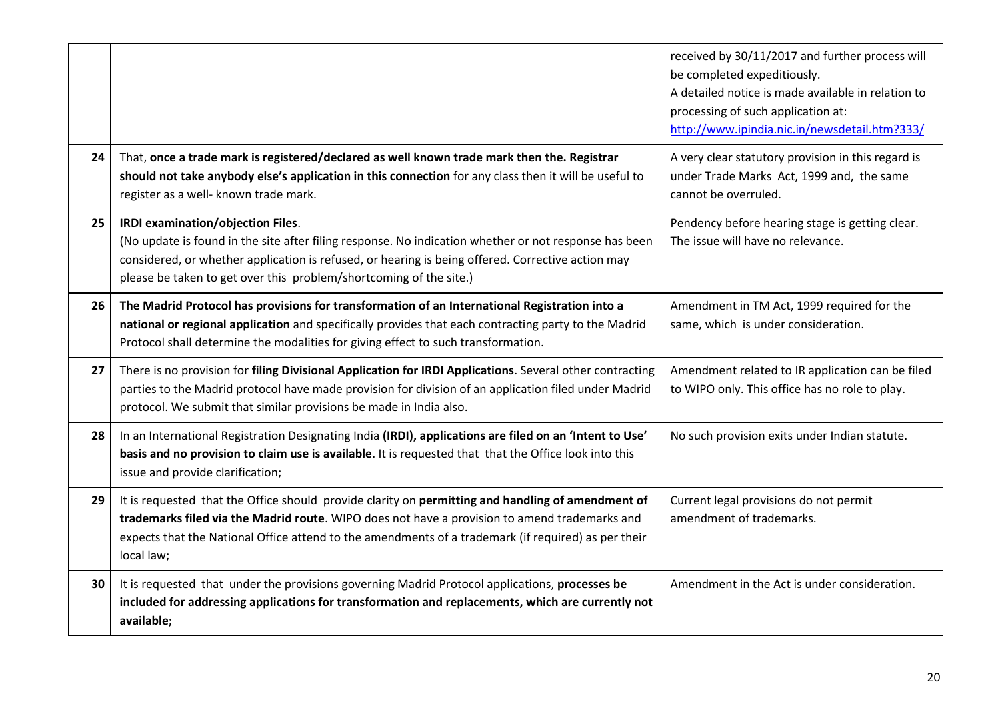|    |                                                                                                                                                                                                                                                                                                                         | received by 30/11/2017 and further process will<br>be completed expeditiously.<br>A detailed notice is made available in relation to<br>processing of such application at:<br>http://www.ipindia.nic.in/newsdetail.htm?333/ |
|----|-------------------------------------------------------------------------------------------------------------------------------------------------------------------------------------------------------------------------------------------------------------------------------------------------------------------------|-----------------------------------------------------------------------------------------------------------------------------------------------------------------------------------------------------------------------------|
| 24 | That, once a trade mark is registered/declared as well known trade mark then the. Registrar<br>should not take anybody else's application in this connection for any class then it will be useful to<br>register as a well- known trade mark.                                                                           | A very clear statutory provision in this regard is<br>under Trade Marks Act, 1999 and, the same<br>cannot be overruled.                                                                                                     |
| 25 | IRDI examination/objection Files.<br>(No update is found in the site after filing response. No indication whether or not response has been<br>considered, or whether application is refused, or hearing is being offered. Corrective action may<br>please be taken to get over this problem/shortcoming of the site.)   | Pendency before hearing stage is getting clear.<br>The issue will have no relevance.                                                                                                                                        |
| 26 | The Madrid Protocol has provisions for transformation of an International Registration into a<br>national or regional application and specifically provides that each contracting party to the Madrid<br>Protocol shall determine the modalities for giving effect to such transformation.                              | Amendment in TM Act, 1999 required for the<br>same, which is under consideration.                                                                                                                                           |
| 27 | There is no provision for filing Divisional Application for IRDI Applications. Several other contracting<br>parties to the Madrid protocol have made provision for division of an application filed under Madrid<br>protocol. We submit that similar provisions be made in India also.                                  | Amendment related to IR application can be filed<br>to WIPO only. This office has no role to play.                                                                                                                          |
| 28 | In an International Registration Designating India (IRDI), applications are filed on an 'Intent to Use'<br>basis and no provision to claim use is available. It is requested that that the Office look into this<br>issue and provide clarification;                                                                    | No such provision exits under Indian statute.                                                                                                                                                                               |
| 29 | It is requested that the Office should provide clarity on permitting and handling of amendment of<br>trademarks filed via the Madrid route. WIPO does not have a provision to amend trademarks and<br>expects that the National Office attend to the amendments of a trademark (if required) as per their<br>local law; | Current legal provisions do not permit<br>amendment of trademarks.                                                                                                                                                          |
| 30 | It is requested that under the provisions governing Madrid Protocol applications, processes be<br>included for addressing applications for transformation and replacements, which are currently not<br>available;                                                                                                       | Amendment in the Act is under consideration.                                                                                                                                                                                |